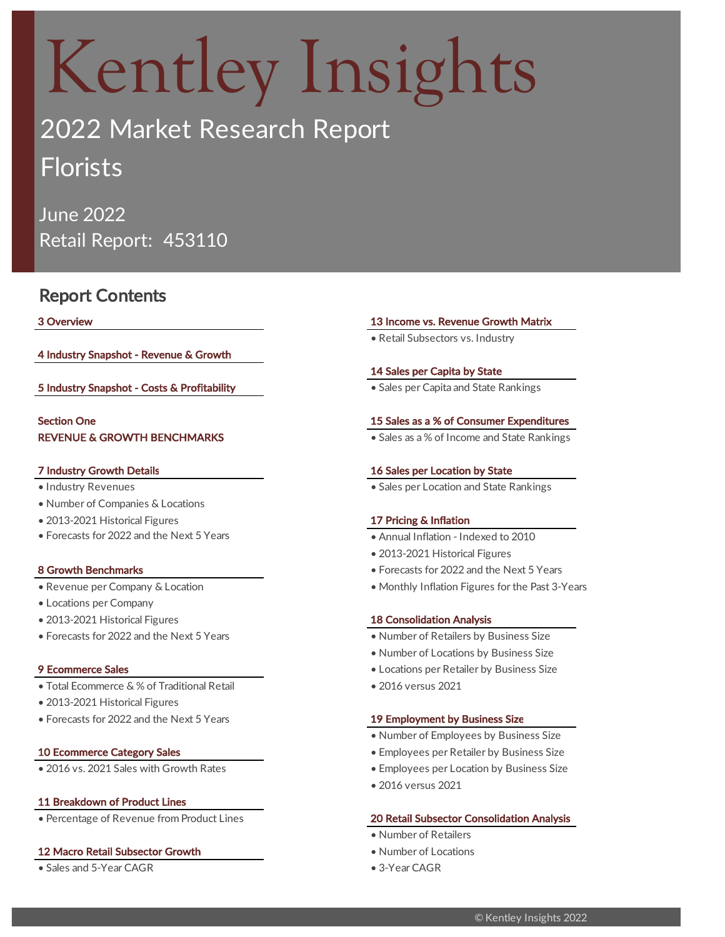# Kentley Insights

## 2022 Market Research Report Florists

June 2022 Retail Report: 453110

### Report Contents

4 Industry Snapshot - Revenue & Growth

5 Industry Snapshot - Costs & Profitability **• Sales per Capita and State Rankings** • Sales per Capita and State Rankings

### REVENUE & GROWTH BENCHMARKS Section One

- 
- Number of Companies & Locations
- 2013-2021 Historical Figures 17 Pricing & Inflation
- Forecasts for 2022 and the Next 5 Years

- 
- Locations per Company
- 2013-2021 Historical Figures 18 Consolidation Analysis
- Forecasts for 2022 and the Next 5 Years Number of Retailers by Business Size

- Total Ecommerce & % of Traditional Retail 2016 versus 2021
- 2013-2021 Historical Figures
- Forecasts for 2022 and the Next 5 Years 19 Employment by Business Size

### 11 Breakdown of Product Lines

### 12 Macro Retail Subsector Growth **• Number of Locations** • Number of Locations

• Sales and 5-Year CAGR • 3-Year CAGR

### 3 Overview 13 Income vs. Revenue Growth Matrix

• Retail Subsectors vs. Industry

### 14 Sales per Capita by State

#### 15 Sales as a % of Consumer Expenditures

• Sales as a % of Income and State Rankings

### 7 Industry Growth Details 16 Sales per Location by State

• Industry Revenues • Sales per Location and State Rankings

- Annual Inflation Indexed to 2010
- 2013-2021 Historical Figures
- 8 Growth Benchmarks Forecasts for 2022 and the Next 5 Years
- Revenue per Company & Location Monthly Inflation Figures for the Past 3-Years

- 
- Number of Locations by Business Size
- 9 Ecommerce Sales Locations per Retailer by Business Size
	-

- Number of Employees by Business Size
- 10 Ecommerce Category Sales  **Employees per Retailer by Business Size**
- 2016 vs. 2021 Sales with Growth Rates Employees per Location by Business Size
	- 2016 versus 2021

### • Percentage of Revenue from Product Lines 20 Retail Subsector Consolidation Analysis

- Number of Retailers
- 
-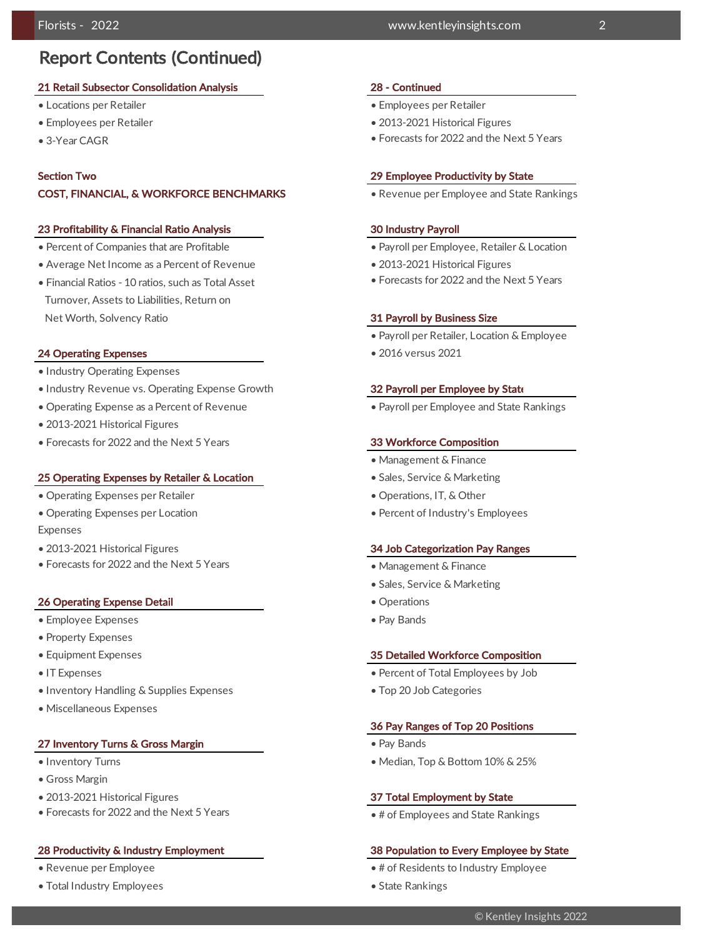### Report Contents (Continued)

#### 21 Retail Subsector Consolidation Analysis 28 - Continued

- Locations per Retailer Employees per Retailer Employees per Retailer
- 
- 3-Year CAGR

#### Section Two

#### COST, FINANCIAL, & WORKFORCE BENCHMARKS

#### 23 Profitability & Financial Ratio Analysis 30 Industry Payroll

- Percent of Companies that are Profitable  **Payroll per Employee**, Retailer & Location
- Average Net Income as a Percent of Revenue 2013-2021 Historical Figures
- Financial Ratios 10 ratios, such as Total Asset Turnover, Assets to Liabilities, Return on Net Worth, Solvency Ratio **31 Payroll by Business Size 31 Payroll by Business Size**

#### **24 Operating Expenses • 2016 versus 2021**

- Industry Operating Expenses
- Industry Revenue vs. Operating Expense Growth 32 Payroll per Employee by State
- Operating Expense as a Percent of Revenue Payroll per Employee and State Rankings
- 2013-2021 Historical Figures
- Forecasts for 2022 and the Next 5 Years 33 Workforce Composition

#### 25 Operating Expenses by Retailer & Location • Sales, Service & Marketing

- Operating Expenses per Retailer Operations, IT, & Other
- Operating Expenses per Location Revenue vs. Percent of Industry's Employees Expenses
- 
- Forecasts for 2022 and the Next 5 Years

#### **26 Operating Expense Detail • Operations • Operations**

- Employee Expenses Pay Bands Pay Bands Pay Bands Pay Bands Pay Bands Pay Bands Pay Bands Pay Bands Pay Bands Pay Bands Pay Bands Pay Bands Pay Bands Pay Bands Pay Bands Pay Bands Pay Band
- Property Expenses
- 
- 
- Inventory Handling & Supplies Expenses Top 20 Job Categories
- Miscellaneous Expenses

#### 27 Inventory Turns & Gross Margin **• Pay Bands** • Pay Bands

- 
- Gross Margin
- 2013-2021 Historical Figures 37 Total Employment by State
- Forecasts for 2022 and the Next 5 Years

- 
- Total Industry Employees State Rankings State Rankings State Rankings State Rankings State Rankings

#### Florists - 2022 www.kentleyinsights.com 2

- 
- Employees per Retailer 2013-2021 Historical Figures
	- Forecasts for 2022 and the Next 5 Years

#### 29 Employee Productivity by State

• Revenue per Employee and State Rankings

- 
- 
- Forecasts for 2022 and the Next 5 Years

- Payroll per Retailer, Location & Employee
- 

- Management & Finance
- 
- 
- 

#### • 2013-2021 Historical Figures 34 Job Categorization Pay Ranges

- Management & Finance
- Sales, Service & Marketing
- 
- 

#### • Equipment Expenses 35 Detailed Workforce Composition

- IT Expenses Percent of Total Employees by Job
	-

#### 36 Pay Ranges of Top 20 Positions

- 
- Inventory Turns Median, Top & Bottom 10% & 25%

• # of Employees and State Rankings

#### 28 Productivity & Industry Employment 38 Population to Every Employee by State

- Revenue per Employee # of Residents to Industry Employee
	-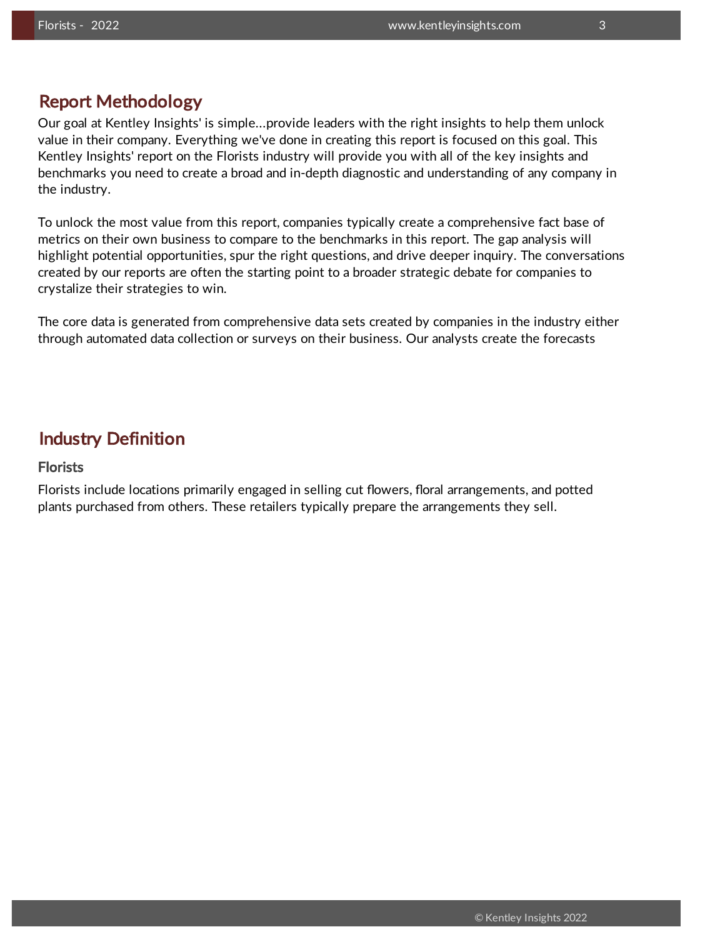### Report Methodology

Our goal at Kentley Insights' is simple...provide leaders with the right insights to help them unlock value in their company. Everything we've done in creating this report is focused on this goal. This Kentley Insights' report on the Florists industry will provide you with all of the key insights and benchmarks you need to create a broad and in-depth diagnostic and understanding of any company in the industry.

To unlock the most value from this report, companies typically create a comprehensive fact base of metrics on their own business to compare to the benchmarks in this report. The gap analysis will highlight potential opportunities, spur the right questions, and drive deeper inquiry. The conversations created by our reports are often the starting point to a broader strategic debate for companies to crystalize their strategies to win.

The core data is generated from comprehensive data sets created by companies in the industry either through automated data collection or surveys on their business. Our analysts create the forecasts

### Industry Definition

### **Florists**

Florists include locations primarily engaged in selling cut flowers, floral arrangements, and potted plants purchased from others. These retailers typically prepare the arrangements they sell.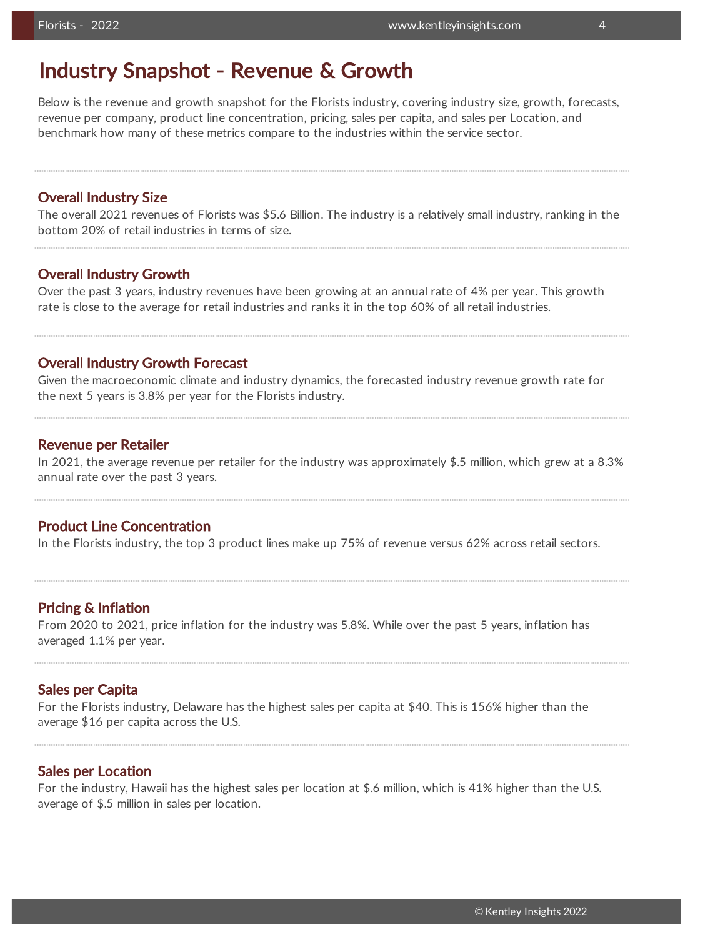### Industry Snapshot - Revenue & Growth

Below is the revenue and growth snapshot for the Florists industry, covering industry size, growth, forecasts, revenue per company, product line concentration, pricing, sales per capita, and sales per Location, and benchmark how many of these metrics compare to the industries within the service sector.

### Overall Industry Size

The overall 2021 revenues of Florists was \$5.6 Billion. The industry is a relatively small industry, ranking in the bottom 20% of retail industries in terms of size.

### Overall Industry Growth

Over the past 3 years, industry revenues have been growing at an annual rate of 4% per year. This growth rate is close to the average for retail industries and ranks it in the top 60% of all retail industries.

### Overall Industry Growth Forecast

Given the macroeconomic climate and industry dynamics, the forecasted industry revenue growth rate for the next 5 years is 3.8% per year for the Florists industry.

### Revenue per Retailer

In 2021, the average revenue per retailer for the industry was approximately \$.5 million, which grew at a 8.3% annual rate over the past 3 years.

### Product Line Concentration

In the Florists industry, the top 3 product lines make up 75% of revenue versus 62% across retail sectors.

### Pricing & Inflation

From 2020 to 2021, price inflation for the industry was 5.8%. While over the past 5 years, inflation has averaged 1.1% per year.

### Sales per Capita

For the Florists industry, Delaware has the highest sales per capita at \$40. This is 156% higher than the average \$16 per capita across the U.S.

### Sales per Location

For the industry, Hawaii has the highest sales per location at \$.6 million, which is 41% higher than the U.S. average of \$.5 million in sales per location.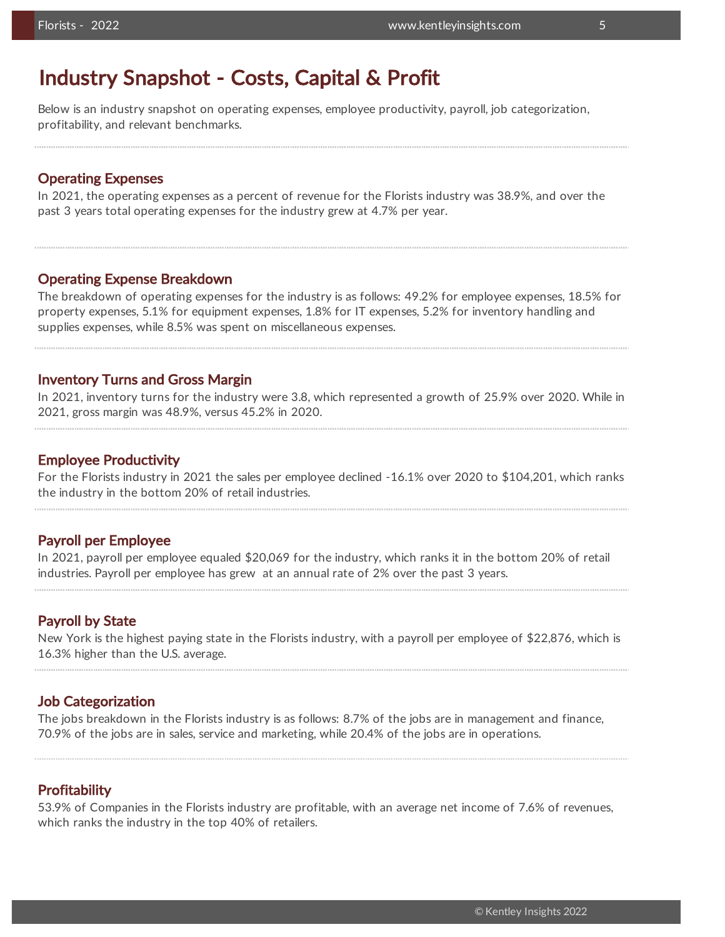### Industry Snapshot - Costs, Capital & Profit

Below is an industry snapshot on operating expenses, employee productivity, payroll, job categorization, profitability, and relevant benchmarks.

### Operating Expenses

In 2021, the operating expenses as a percent of revenue for the Florists industry was 38.9%, and over the past 3 years total operating expenses for the industry grew at 4.7% per year.

### Operating Expense Breakdown

The breakdown of operating expenses for the industry is as follows: 49.2% for employee expenses, 18.5% for property expenses, 5.1% for equipment expenses, 1.8% for IT expenses, 5.2% for inventory handling and supplies expenses, while 8.5% was spent on miscellaneous expenses.

### Inventory Turns and Gross Margin

In 2021, inventory turns for the industry were 3.8, which represented a growth of 25.9% over 2020. While in 2021, gross margin was 48.9%, versus 45.2% in 2020.

### Employee Productivity

For the Florists industry in 2021 the sales per employee declined -16.1% over 2020 to \$104,201, which ranks the industry in the bottom 20% of retail industries.

### Payroll per Employee

In 2021, payroll per employee equaled \$20,069 for the industry, which ranks it in the bottom 20% of retail industries. Payroll per employee has grew at an annual rate of 2% over the past 3 years.

### Payroll by State

New York is the highest paying state in the Florists industry, with a payroll per employee of \$22,876, which is 16.3% higher than the U.S. average.

### Job Categorization

The jobs breakdown in the Florists industry is as follows: 8.7% of the jobs are in management and finance, 70.9% of the jobs are in sales, service and marketing, while 20.4% of the jobs are in operations.

### Profitability

53.9% of Companies in the Florists industry are profitable, with an average net income of 7.6% of revenues, which ranks the industry in the top 40% of retailers.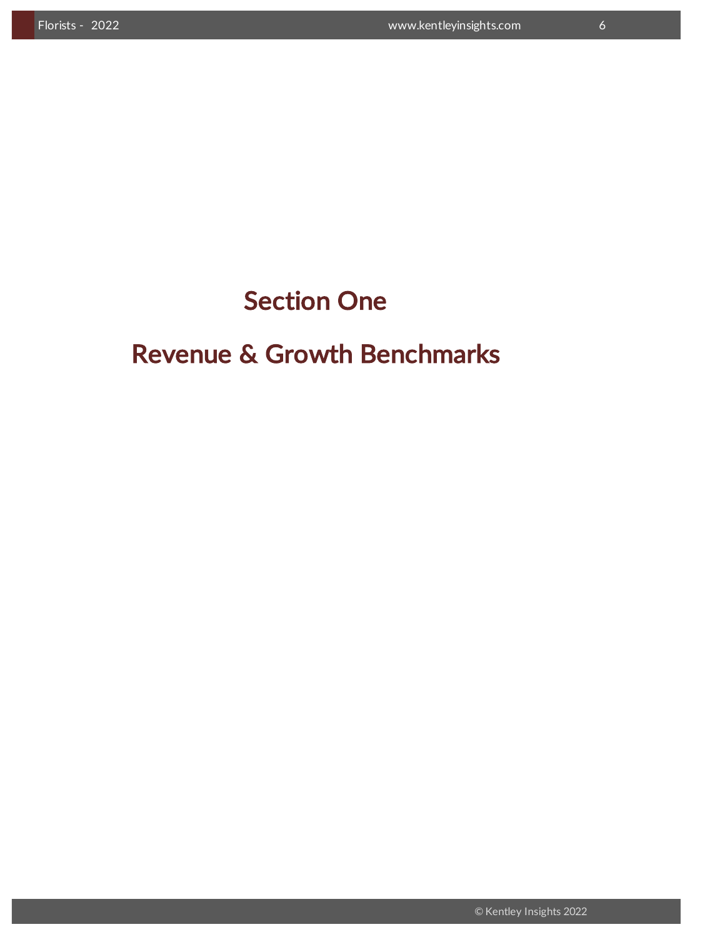## Section One

## Revenue & Growth Benchmarks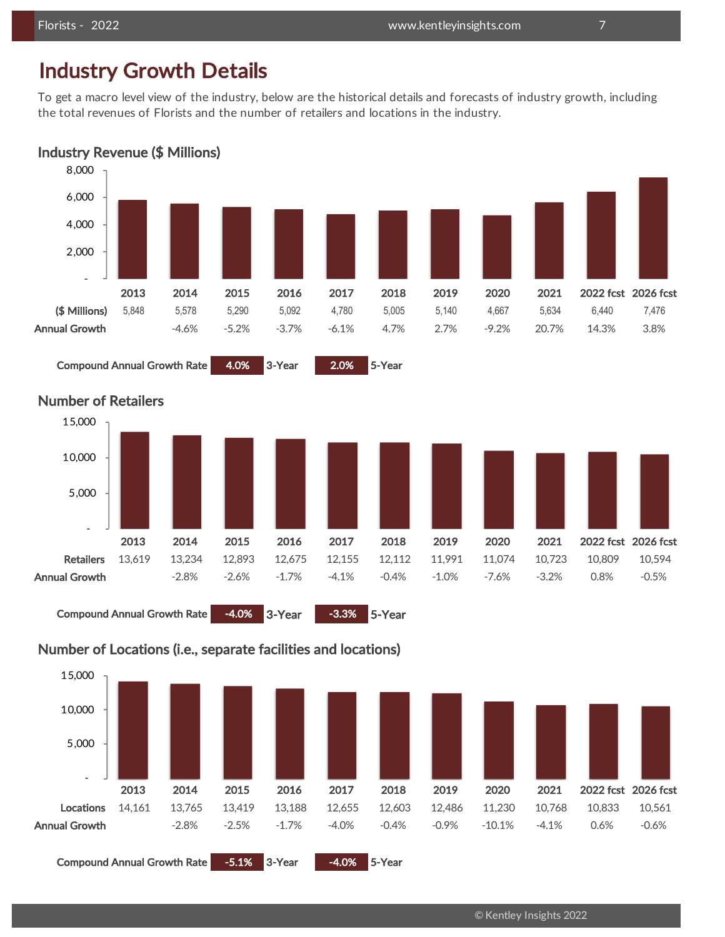## Industry Growth Details

To get a macro level view of the industry, below are the historical details and forecasts of industry growth, including the total revenues of Florists and the number of retailers and locations in the industry.





Compound Annual Growth Rate 4.0% 3-Year 2.0% 5-Year



### Number of Retailers

Compound Annual Growth Rate -4.0% 3-Year -3.3% 5-Year



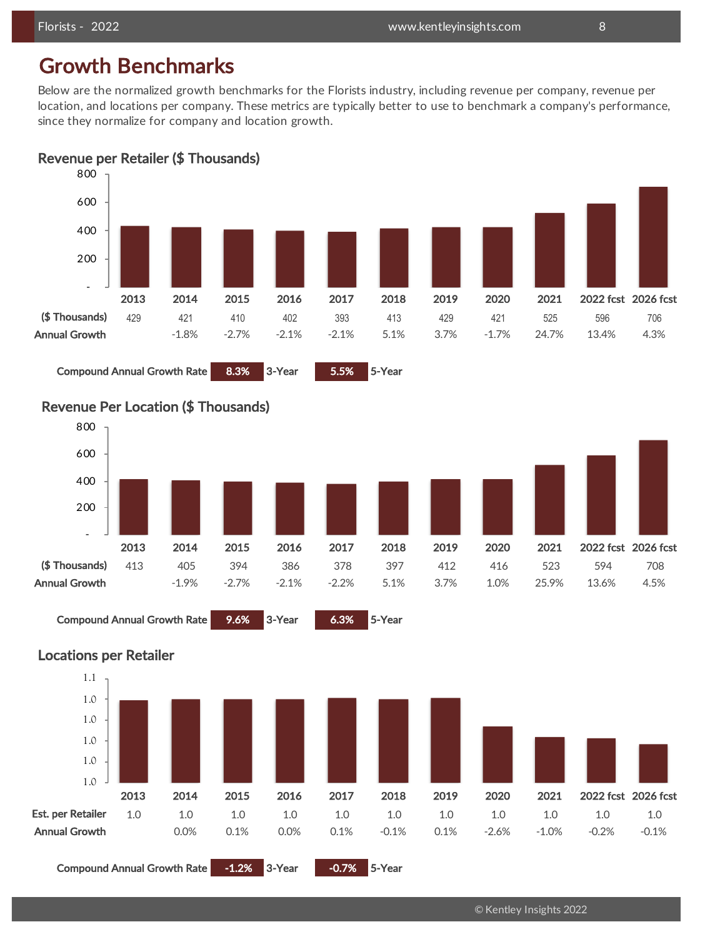## Growth Benchmarks

Below are the normalized growth benchmarks for the Florists industry, including revenue per company, revenue per location, and locations per company. These metrics are typically better to use to benchmark a company's performance, since they normalize for company and location growth.

Revenue per Retailer (\$ Thousands)







Locations per Retailer



Compound Annual Growth Rate -1.2% 3-Year -0.7% 5-Year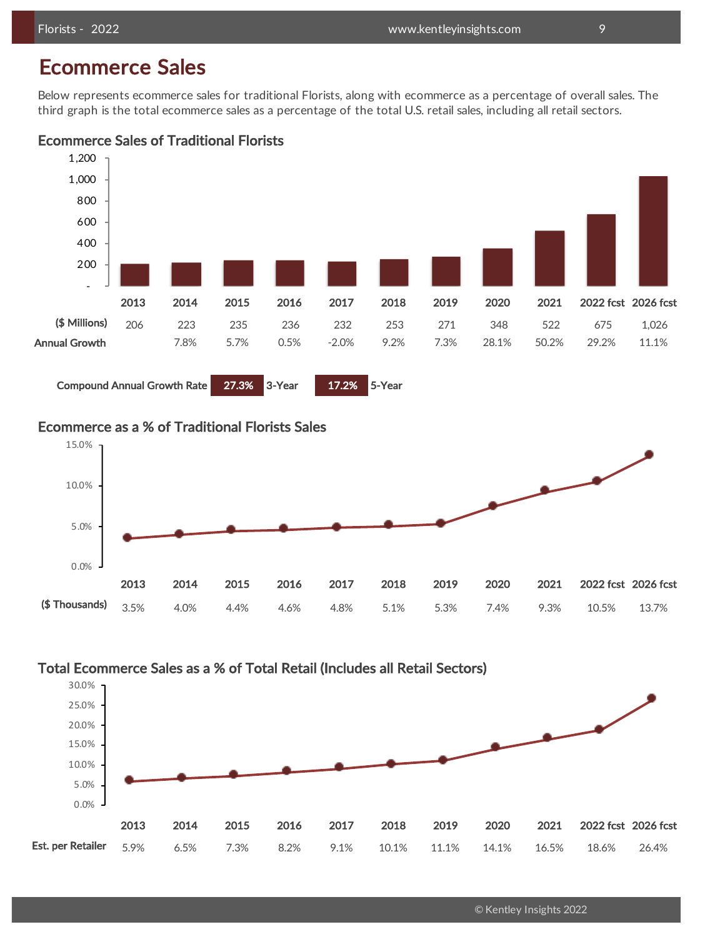## Ecommerce Sales

Below represents ecommerce sales for traditional Florists, along with ecommerce as a percentage of overall sales. The third graph is the total ecommerce sales as a percentage of the total U.S. retail sales, including all retail sectors.

### Ecommerce Sales of Traditional Florists



Compound Annual Growth Rate 27.3% 3-Year 17.2% 5-Year

### Ecommerce as a % of Traditional Florists Sales



### Total Ecommerce Sales as a % of Total Retail (Includes all Retail Sectors)



© Kentley Insights 2022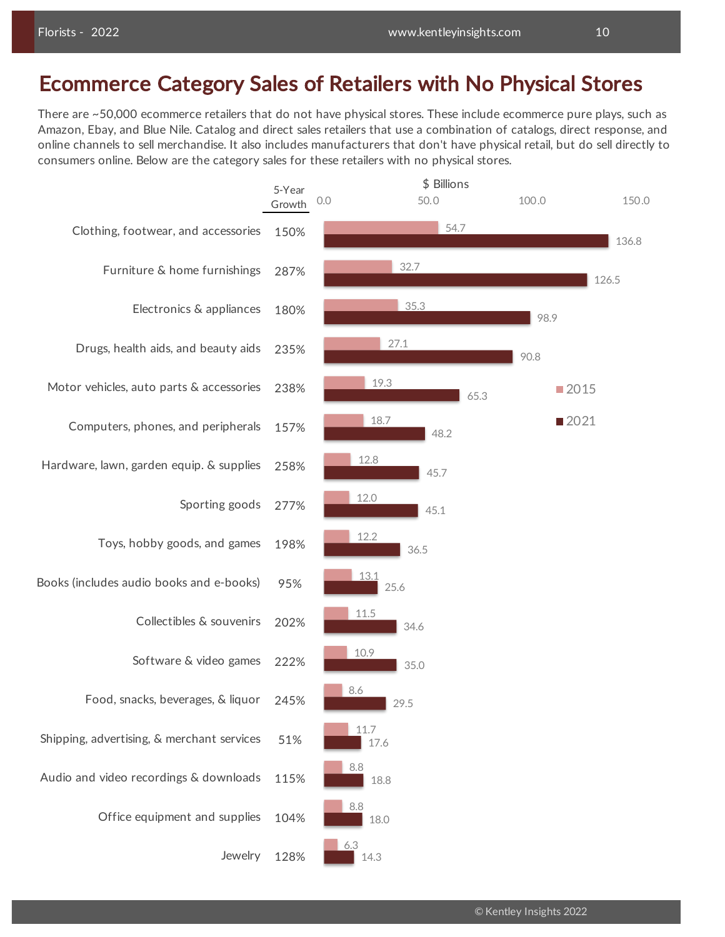## Ecommerce Category Sales of Retailers with No Physical Stores

There are ~50,000 ecommerce retailers that do not have physical stores. These include ecommerce pure plays, such as Amazon, Ebay, and Blue Nile. Catalog and direct sales retailers that use a combination of catalogs, direct response, and online channels to sell merchandise. It also includes manufacturers that don't have physical retail, but do sell directly to consumers online. Below are the category sales for these retailers with no physical stores.

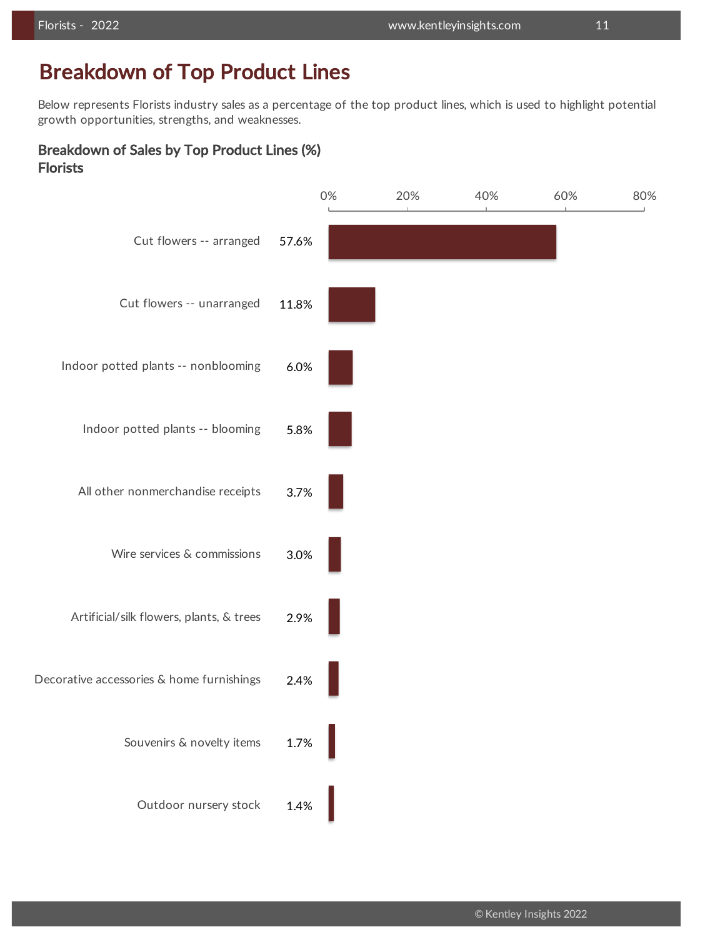## Breakdown of Top Product Lines

Below represents Florists industry sales as a percentage of the top product lines, which is used to highlight potential growth opportunities, strengths, and weaknesses.

### Breakdown of Sales by Top Product Lines (%) Florists

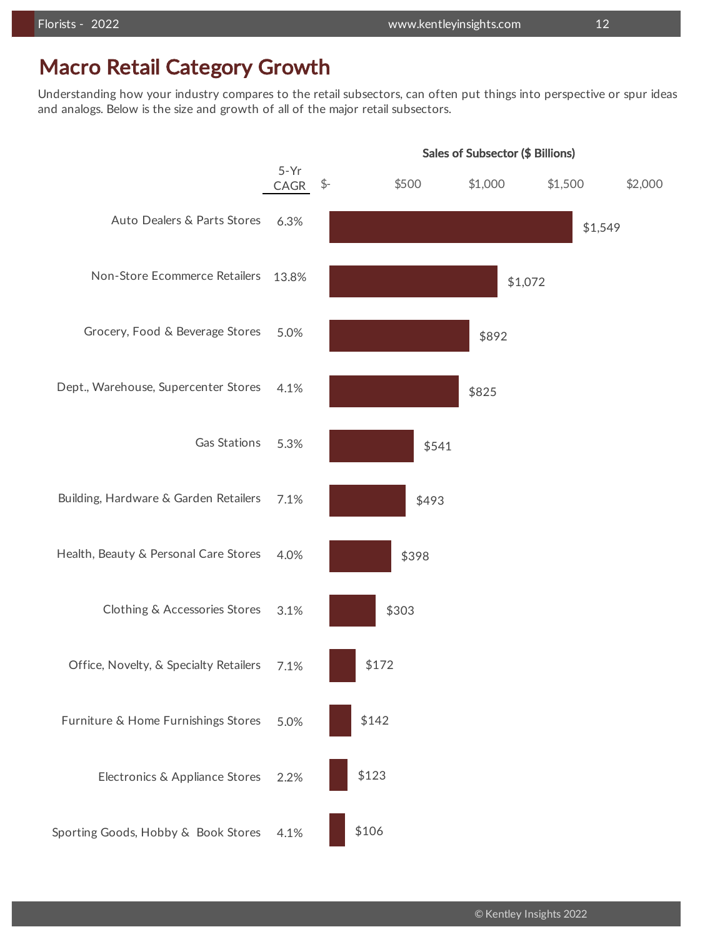### Macro Retail Category Growth

Understanding how your industry compares to the retail subsectors, can often put things into perspective or spur ideas and analogs. Below is the size and growth of all of the major retail subsectors.

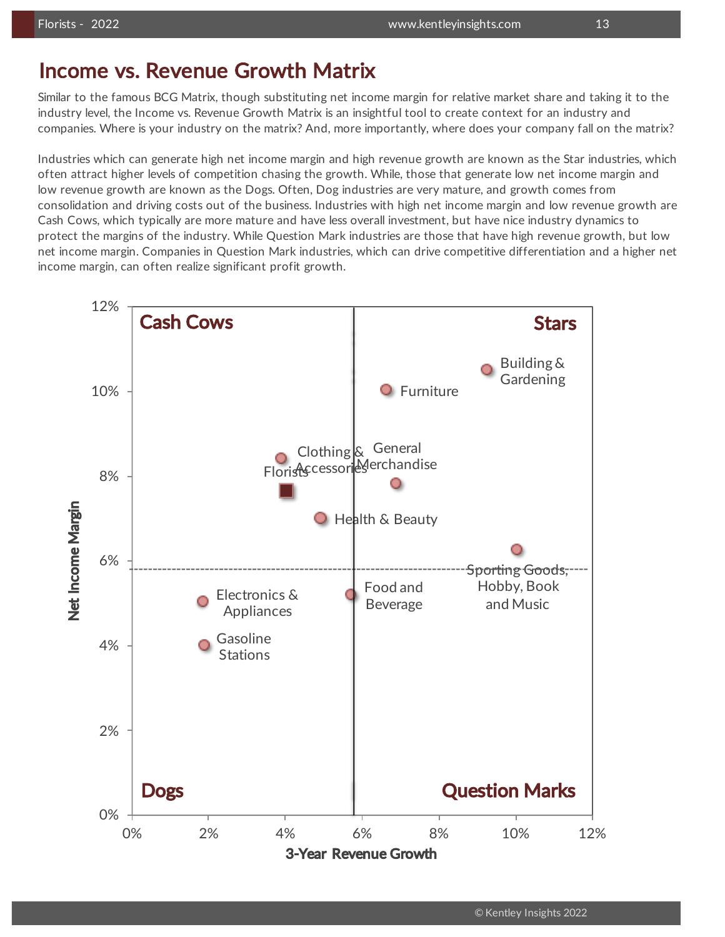### Income vs. Revenue Growth Matrix

Similar to the famous BCG Matrix, though substituting net income margin for relative market share and taking it to the industry level, the Income vs. Revenue Growth Matrix is an insightful tool to create context for an industry and companies. Where is your industry on the matrix? And, more importantly, where does your company fall on the matrix?

Industries which can generate high net income margin and high revenue growth are known as the Star industries, which often attract higher levels of competition chasing the growth. While, those that generate low net income margin and low revenue growth are known as the Dogs. Often, Dog industries are very mature, and growth comes from consolidation and driving costs out of the business. Industries with high net income margin and low revenue growth are Cash Cows, which typically are more mature and have less overall investment, but have nice industry dynamics to protect the margins of the industry. While Question Mark industries are those that have high revenue growth, but low net income margin. Companies in Question Mark industries, which can drive competitive differentiation and a higher net income margin, can often realize significant profit growth.

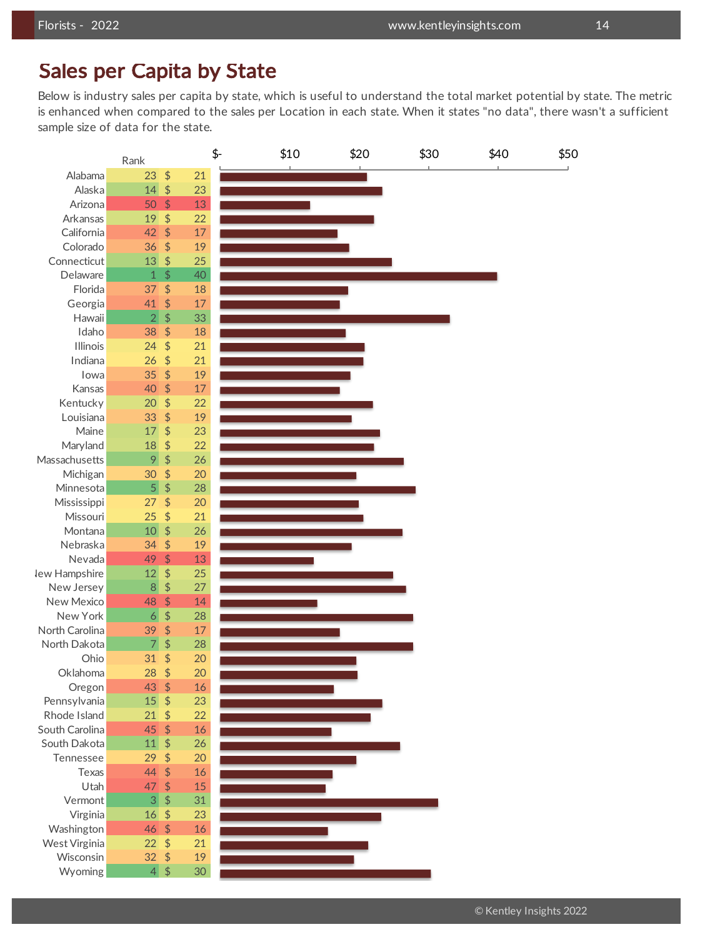### Sales per Capita by State

Below is industry sales per capita by state, which is useful to understand the total market potential by state. The metric is enhanced when compared to the sales per Location in each state. When it states "no data", there wasn't a sufficient sample size of data for the state.

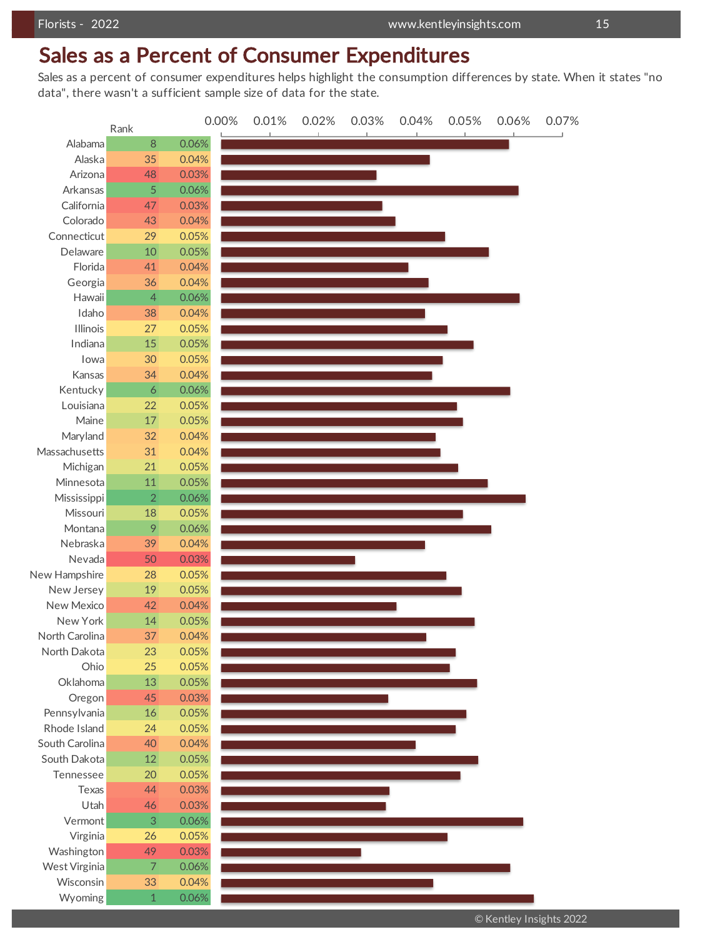## Sales as a Percent of Consumer Expenditures

Sales as a percent of consumer expenditures helps highlight the consumption differences by state. When it states "no data", there wasn't a sufficient sample size of data for the state.



© Kentley Insights 2022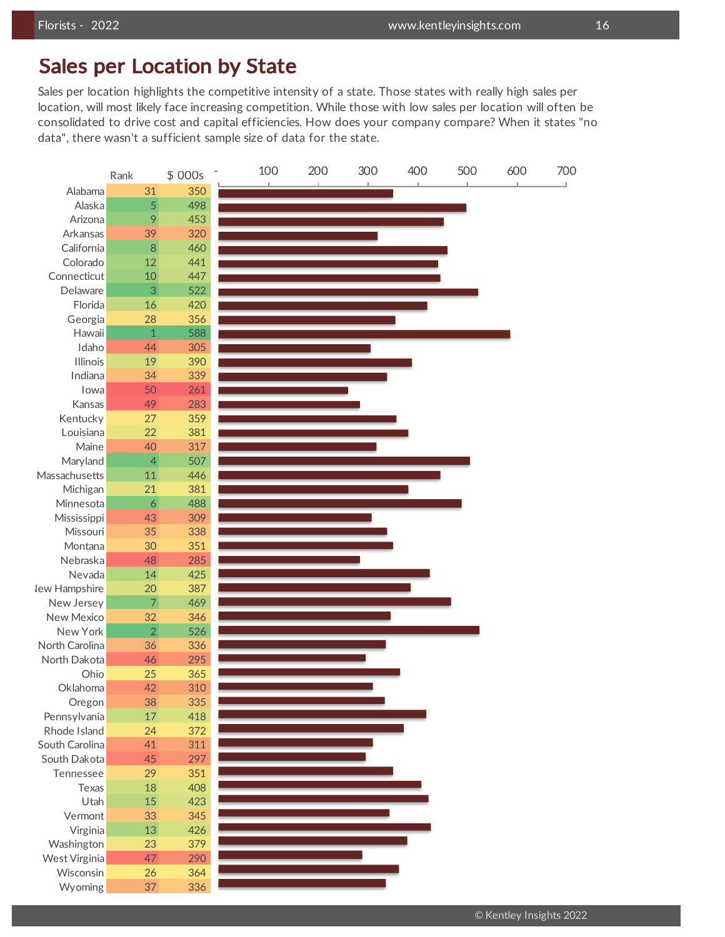### Sales per Location by State

Sales per location highlights the competitive intensity of a state. Those states with really high sales per location, will most likely face increasing competition. While those with low sales per location will often be consolidated to drive cost and capital efficiencies. How does your company compare? When it states "no data", there wasn't a sufficient sample size of data for the state.

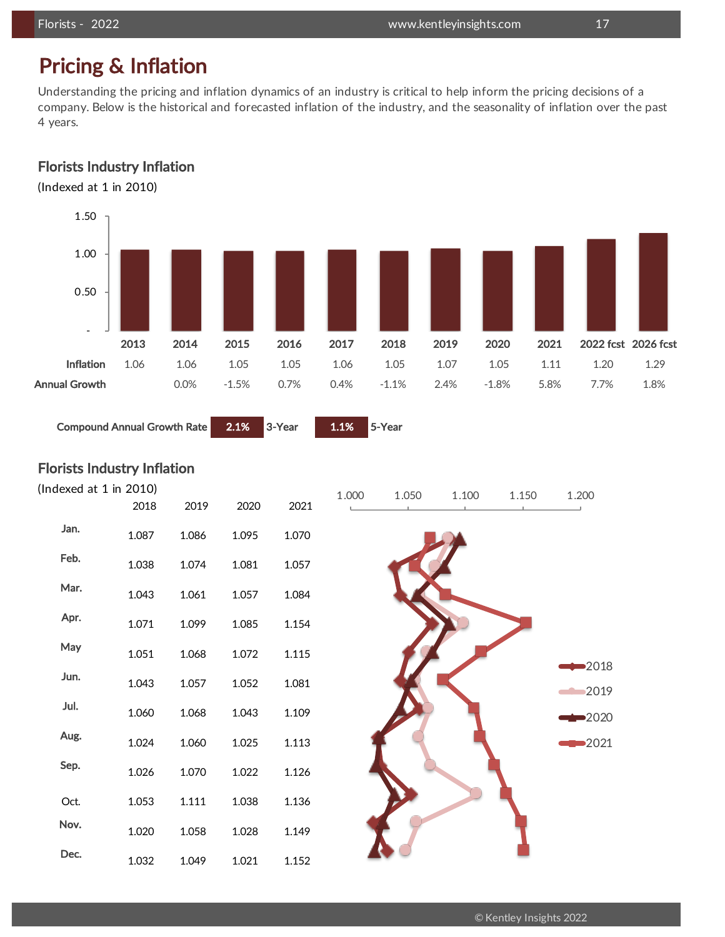## Pricing & Inflation

Understanding the pricing and inflation dynamics of an industry is critical to help inform the pricing decisions of a company. Below is the historical and forecasted inflation of the industry, and the seasonality of inflation over the past 4 years.

### Florists Industry Inflation

(Indexed at 1 in 2010)



Compound Annual Growth Rate 2.1% 3-Year 1.1% 5-Year

Florists Industry Inflation

| (Indexed at $1$ in 2010) |       |       |       |       | 1.000 | 1.050 | 1.100 | 1.150 | 1.200   |
|--------------------------|-------|-------|-------|-------|-------|-------|-------|-------|---------|
|                          | 2018  | 2019  | 2020  | 2021  |       |       |       |       |         |
| Jan.                     | 1.087 | 1.086 | 1.095 | 1.070 |       |       |       |       |         |
| Feb.                     | 1.038 | 1.074 | 1.081 | 1.057 |       |       |       |       |         |
| Mar.                     | 1.043 | 1.061 | 1.057 | 1.084 |       |       |       |       |         |
| Apr.                     | 1.071 | 1.099 | 1.085 | 1.154 |       |       |       |       |         |
| May                      | 1.051 | 1.068 | 1.072 | 1.115 |       |       |       |       | 2018    |
| Jun.                     | 1.043 | 1.057 | 1.052 | 1.081 |       |       |       |       | 2019    |
| Jul.                     | 1.060 | 1.068 | 1.043 | 1.109 |       |       |       |       | ■2020   |
| Aug.                     | 1.024 | 1.060 | 1.025 | 1.113 |       |       |       |       | $-2021$ |
| Sep.                     | 1.026 | 1.070 | 1.022 | 1.126 |       |       |       |       |         |
| Oct.                     | 1.053 | 1.111 | 1.038 | 1.136 |       |       |       |       |         |
| Nov.                     | 1.020 | 1.058 | 1.028 | 1.149 |       |       |       |       |         |
| Dec.                     | 1.032 | 1.049 | 1.021 | 1.152 |       |       |       |       |         |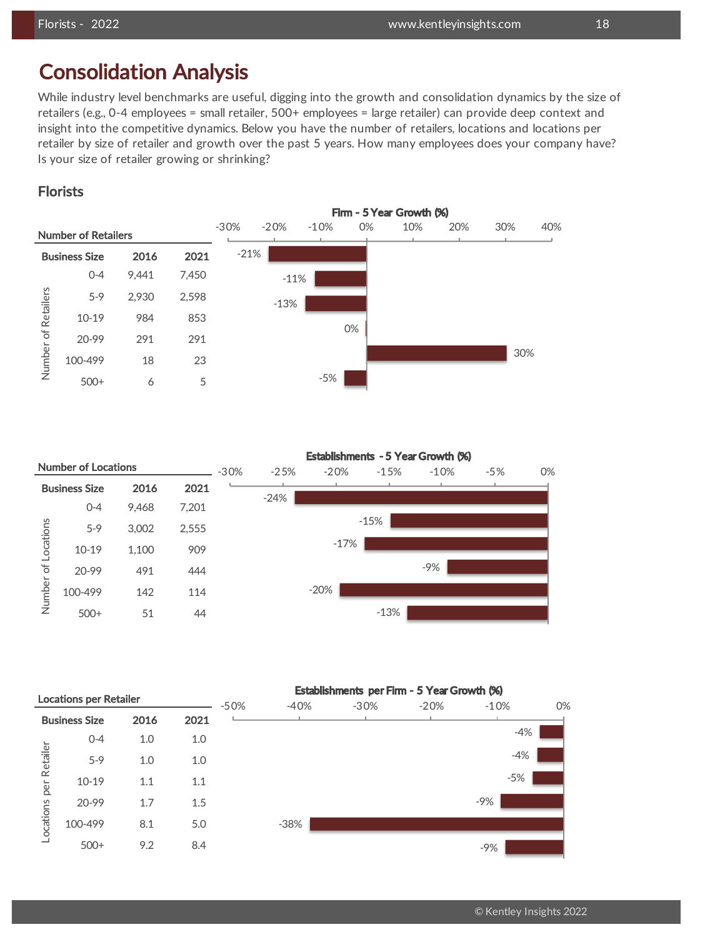## Consolidation Analysis

While industry level benchmarks are useful, digging into the growth and consolidation dynamics by the size of retailers (e.g., 0-4 employees = small retailer, 500+ employees = large retailer) can provide deep context and insight into the competitive dynamics. Below you have the number of retailers, locations and locations per retailer by size of retailer and growth over the past 5 years. How many employees does your company have? Is your size of retailer growing or shrinking?

### Florists



|              |                            |       |       |        |        |         |        | Establishments - 5 Year Growth (%) |       |    |
|--------------|----------------------------|-------|-------|--------|--------|---------|--------|------------------------------------|-------|----|
|              | <b>Number of Locations</b> |       |       | $-30%$ | $-25%$ | $-20%$  | $-15%$ | $-10%$                             | $-5%$ | 0% |
|              | <b>Business Size</b>       | 2016  | 2021  |        |        |         |        |                                    |       |    |
|              | $0 - 4$                    | 9,468 | 7,201 |        | $-24%$ |         |        |                                    |       |    |
|              | $5-9$                      | 3,002 | 2,555 |        |        |         | $-15%$ |                                    |       |    |
| of Locations | $10-19$                    | 1,100 | 909   |        |        | $-17\%$ |        |                                    |       |    |
|              | 20-99                      | 491   | 444   |        |        |         |        | $-9%$                              |       |    |
| Number       | 100-499                    | 142   | 114   |        |        | $-20%$  |        |                                    |       |    |
|              | $500+$                     | 51    | 44    |        |        |         | $-13%$ |                                    |       |    |

|           |                      | Establishments per Firm - 5 Year Growth (%)<br><b>Locations per Retailer</b> |      |        |        |        |        |        |    |  |
|-----------|----------------------|------------------------------------------------------------------------------|------|--------|--------|--------|--------|--------|----|--|
|           |                      |                                                                              |      | $-50%$ | $-40%$ | $-30%$ | $-20%$ | $-10%$ | 0% |  |
|           | <b>Business Size</b> | 2016                                                                         | 2021 |        |        |        |        |        |    |  |
|           | $0 - 4$              | 1.0                                                                          | 1.0  |        |        |        |        | $-4%$  |    |  |
| Retailer  | $5-9$                | 1.0                                                                          | 1.0  |        |        |        |        | $-4%$  |    |  |
| per       | $10 - 19$            | 1.1                                                                          | 1.1  |        |        |        |        | $-5%$  |    |  |
|           | 20-99                | 1.7                                                                          | 1.5  |        |        |        |        | $-9%$  |    |  |
| Locations | 100-499              | 8.1                                                                          | 5.0  |        | $-38%$ |        |        |        |    |  |
|           | $500+$               | 9.2                                                                          | 8.4  |        |        |        |        | $-9%$  |    |  |

### © Kentley Insights 2022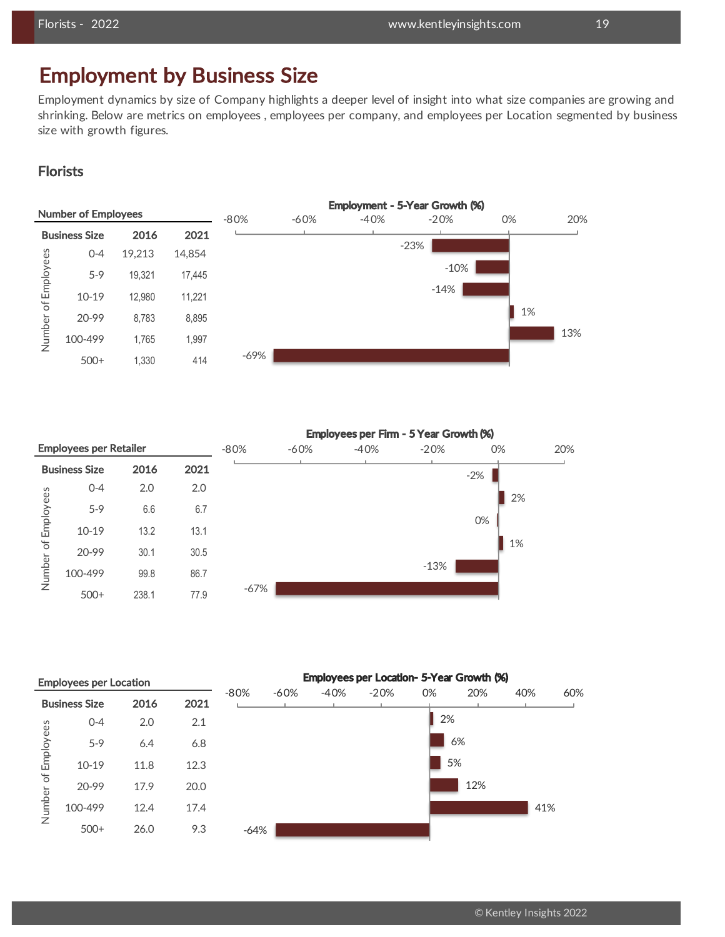## Employment by Business Size

Employment dynamics by size of Company highlights a deeper level of insight into what size companies are growing and shrinking. Below are metrics on employees , employees per company, and employees per Location segmented by business size with growth figures.

### **Florists**

|              | <b>Number of Employees</b> |        |        | $-80%$ | $-60%$ | $-40%$ | Employment - 5-Year Growth (%)<br>$-20%$ | 0% | 20% |
|--------------|----------------------------|--------|--------|--------|--------|--------|------------------------------------------|----|-----|
|              | <b>Business Size</b>       | 2016   | 2021   |        |        |        |                                          |    |     |
|              | $O - 4$                    | 19,213 | 14,854 |        |        |        | $-23%$                                   |    |     |
| of Employees | $5-9$                      | 19,321 | 17,445 |        |        |        | $-10%$                                   |    |     |
|              | $10-19$                    | 12,980 | 11,221 |        |        |        | $-14%$                                   |    |     |
|              | 20-99                      | 8,783  | 8,895  |        |        |        |                                          | 1% |     |
| Number       | 100-499                    | 1,765  | 1,997  |        |        |        |                                          |    | 13% |
|              | $500+$                     | 1,330  | 414    | $-69%$ |        |        |                                          |    |     |

|           |                               |       |      |        |        |        | Employees per Firm - 5 Year Growth (%) |       |     |
|-----------|-------------------------------|-------|------|--------|--------|--------|----------------------------------------|-------|-----|
|           | <b>Employees per Retailer</b> |       |      | $-80%$ | $-60%$ | $-40%$ | $-20%$                                 | 0%    | 20% |
|           | <b>Business Size</b>          | 2016  | 2021 |        |        |        |                                        | $-2%$ |     |
|           | $O - 4$                       | 2.0   | 2.0  |        |        |        |                                        | 2%    |     |
| Employees | $5-9$                         | 6.6   | 6.7  |        |        |        |                                        |       |     |
|           | $10-19$                       | 13.2  | 13.1 |        |        |        |                                        | 0%    |     |
| $\sigma$  | 20-99                         | 30.1  | 30.5 |        |        |        |                                        | 1%    |     |
| Number    | 100-499                       | 99.8  | 86.7 |        |        |        | $-13%$                                 |       |     |
|           | $500+$                        | 238.1 | 77.9 | -67%   |        |        |                                        |       |     |

|              | <b>Employees per Location</b> |      |      |        |        |        | Employees per Location- 5-Year Growth (%) |    |     |     |     |
|--------------|-------------------------------|------|------|--------|--------|--------|-------------------------------------------|----|-----|-----|-----|
|              | <b>Business Size</b>          | 2016 | 2021 | $-80%$ | $-60%$ | $-40%$ | $-20%$                                    | 0% | 20% | 40% | 60% |
|              | $O - 4$                       | 2.0  | 2.1  |        |        |        |                                           | 2% |     |     |     |
| of Employees | $5-9$                         | 6.4  | 6.8  |        |        |        |                                           |    | 6%  |     |     |
|              | $10-19$                       | 11.8 | 12.3 |        |        |        |                                           |    | 5%  |     |     |
|              | 20-99                         | 17.9 | 20.0 |        |        |        |                                           |    | 12% |     |     |
| Number       | 100-499                       | 12.4 | 17.4 |        |        |        |                                           |    |     | 41% |     |
|              | $500+$                        | 26.0 | 9.3  | -64%   |        |        |                                           |    |     |     |     |
|              |                               |      |      |        |        |        |                                           |    |     |     |     |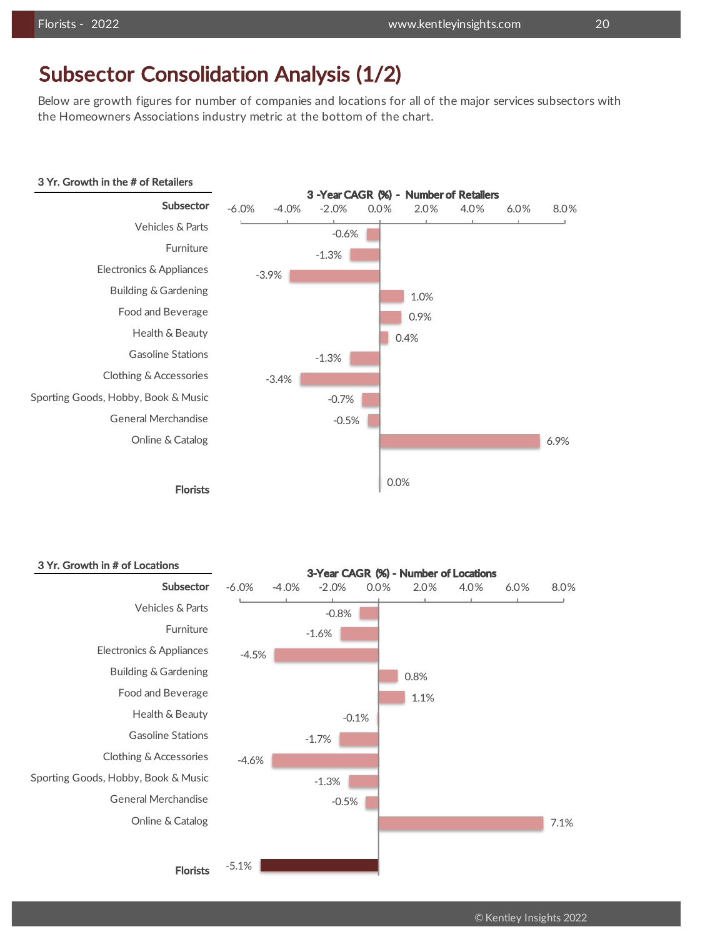### Subsector Consolidation Analysis (1/2)

Below are growth figures for number of companies and locations for all of the major services subsectors with the Homeowners Associations industry metric at the bottom of the chart.



#### 3 Yr. Growth in # of Locations



### © Kentley Insights 2022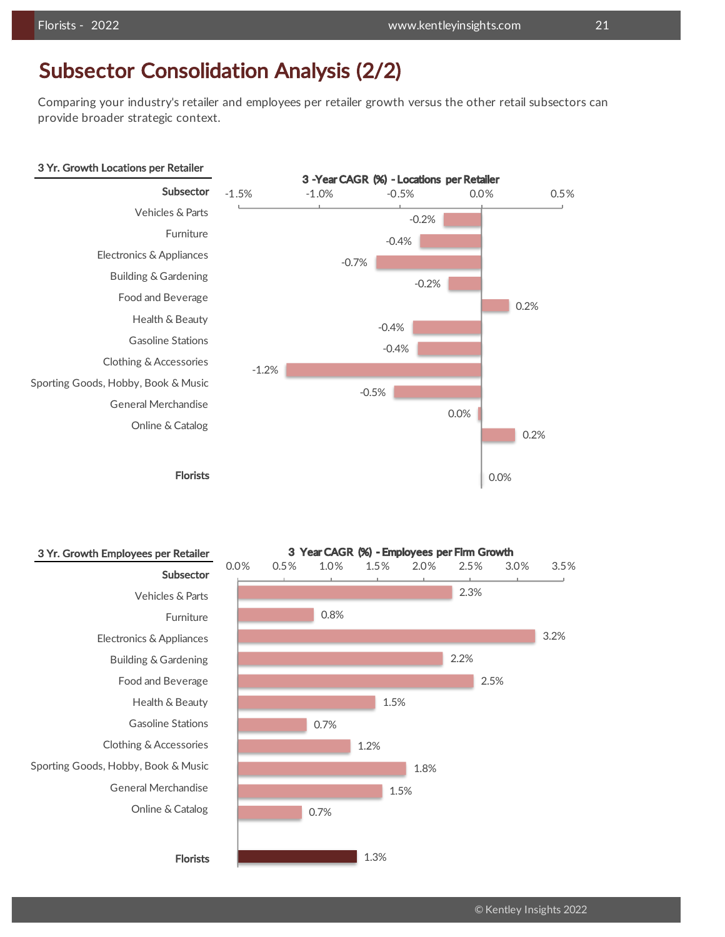### Subsector Consolidation Analysis (2/2)

Comparing your industry's retailer and employees per retailer growth versus the other retail subsectors can provide broader strategic context.

#### 3 Yr. Growth Locations per Retailer



#REF! 722 #REF! 453110 -0.2% -0.4% -0.7% -0.2% 0.2% -0.4% -0.4% -1.2% -0.5% 0.0% 0.2% 0.0% -1.5% -1.0% -0.5% 0.0% 0.5% 3 -Year CAGR (%) - Locations per Retailer

### Florists

Florists

#### 3 Yr. Growth Employees per Retailer

**Subsector** Vehicles & Parts Furniture Electronics & Appliances Building & Gardening Food and Beverage Health & Beauty Gasoline Stations Clothing & Accessories Sporting Goods, Hobby, Book & Music General Merchandise Online & Catalog

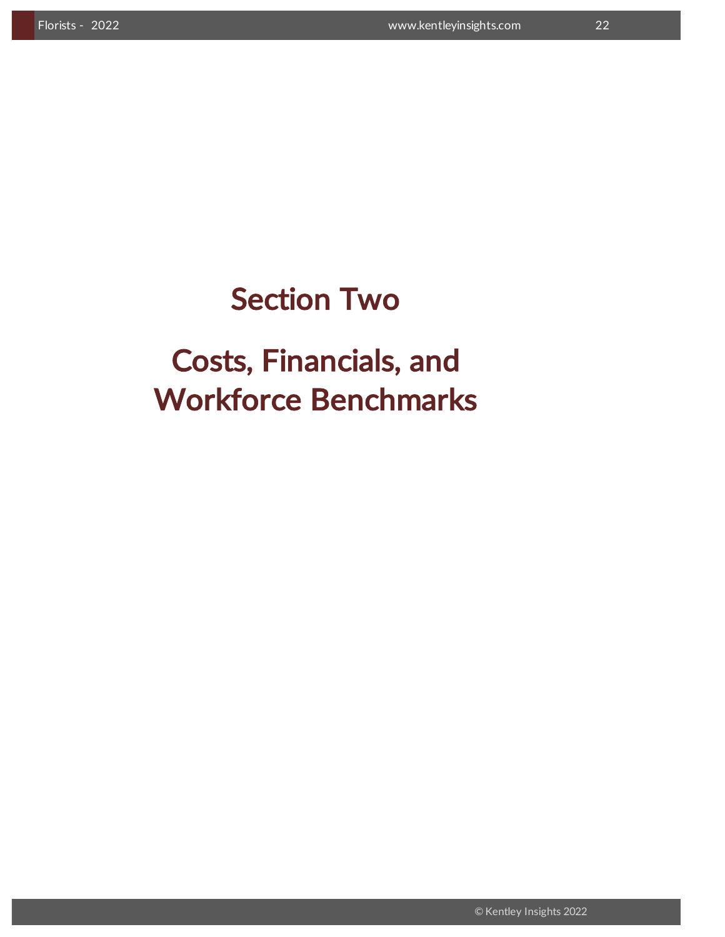## Section Two

Costs, Financials, and Workforce Benchmarks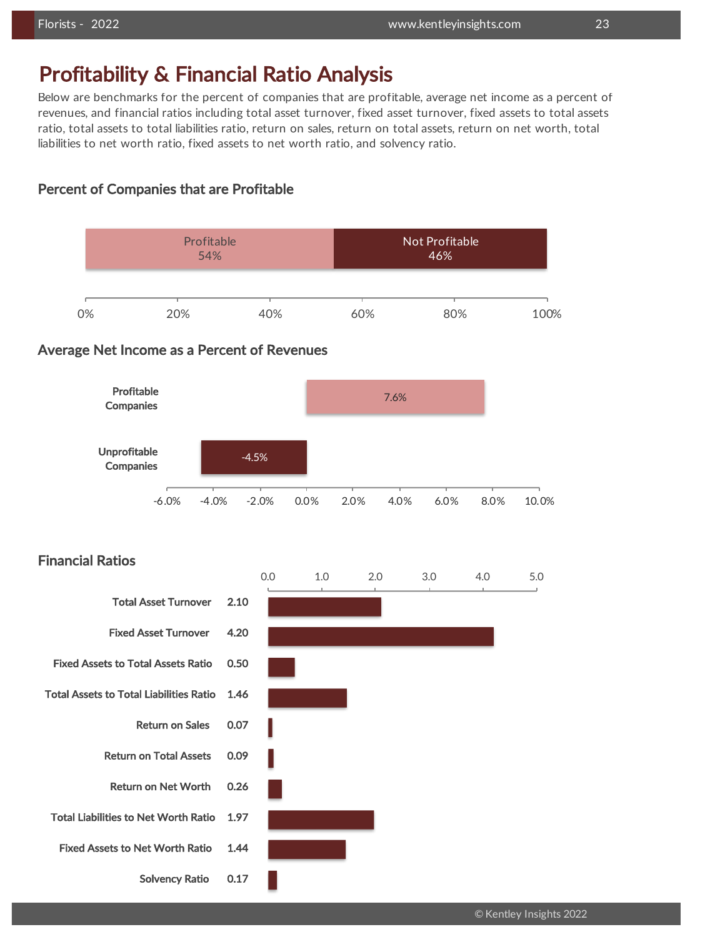### Profitability & Financial Ratio Analysis

Below are benchmarks for the percent of companies that are profitable, average net income as a percent of revenues, and financial ratios including total asset turnover, fixed asset turnover, fixed assets to total assets ratio, total assets to total liabilities ratio, return on sales, return on total assets, return on net worth, total liabilities to net worth ratio, fixed assets to net worth ratio, and solvency ratio.

### Percent of Companies that are Profitable



### Financial Ratios

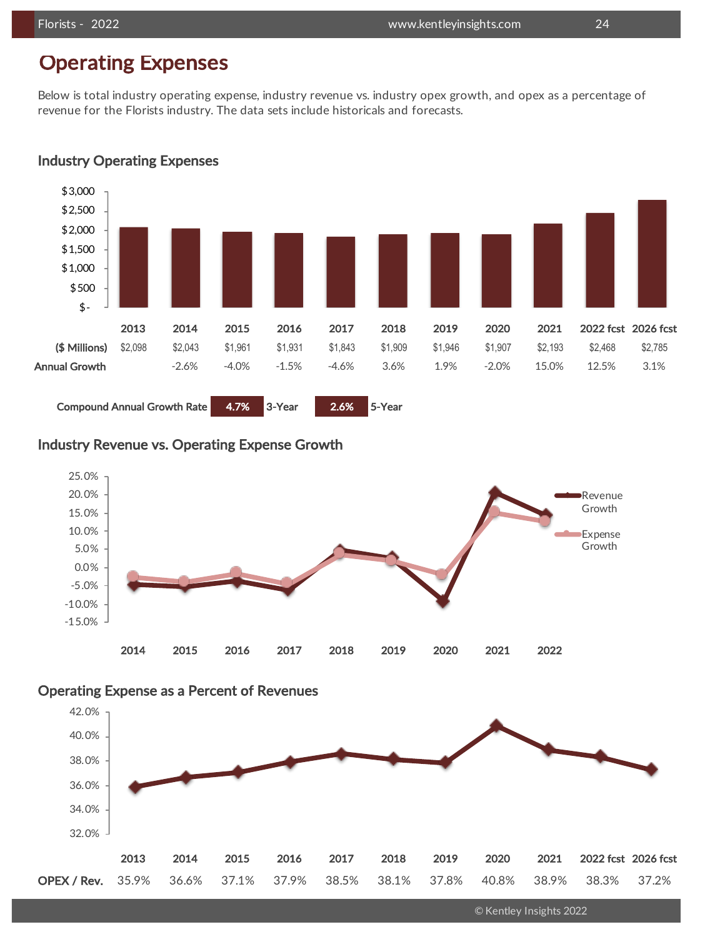## Operating Expenses

Below is total industry operating expense, industry revenue vs. industry opex growth, and opex as a percentage of revenue for the Florists industry. The data sets include historicals and forecasts.



### Industry Operating Expenses

### Industry Revenue vs. Operating Expense Growth



### Operating Expense as a Percent of Revenues



© Kentley Insights 2022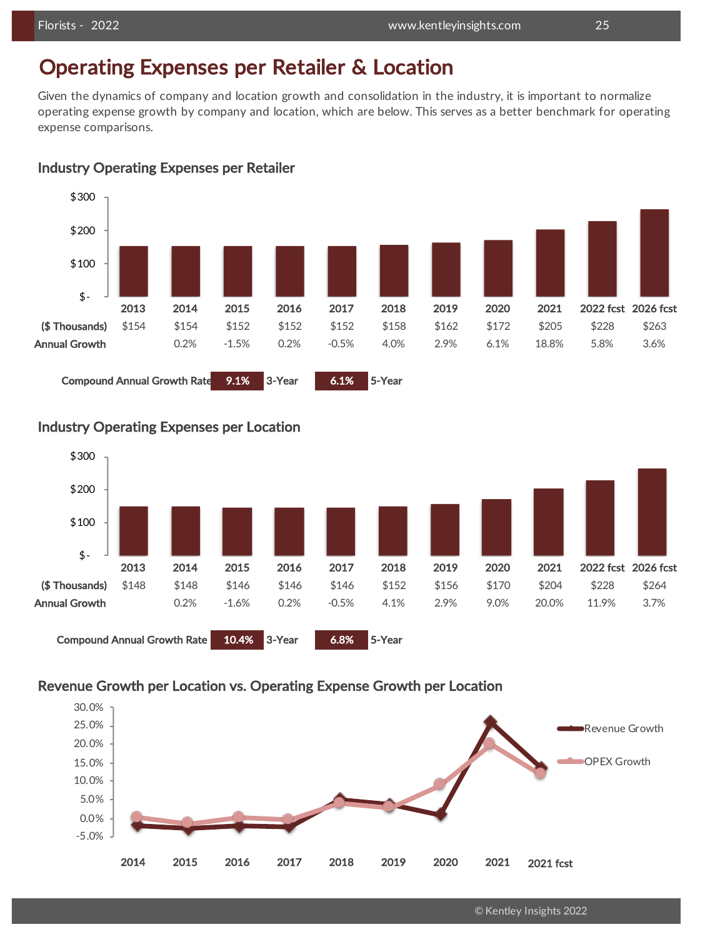### Operating Expenses per Retailer & Location

Given the dynamics of company and location growth and consolidation in the industry, it is important to normalize operating expense growth by company and location, which are below. This serves as a better benchmark for operating expense comparisons.



### Industry Operating Expenses per Retailer

Compound Annual Growth Rate 9.1% 3-Year 6.1% 5-Year





### Industry Operating Expenses per Location

### Revenue Growth per Location vs. Operating Expense Growth per Location



© Kentley Insights 2022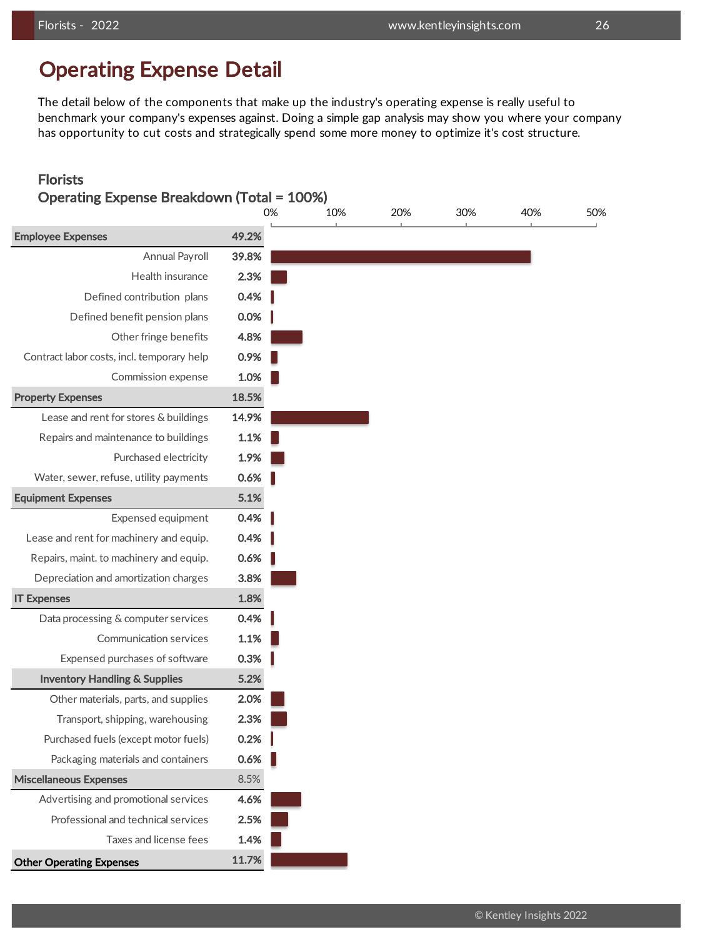## Operating Expense Detail

The detail below of the components that make up the industry's operating expense is really useful to benchmark your company's expenses against. Doing a simple gap analysis may show you where your company has opportunity to cut costs and strategically spend some more money to optimize it's cost structure.

### Florists

| <b>Operating Expense Breakdown (Total = 100%)</b> |       |     |     |     |     |     |  |  |  |
|---------------------------------------------------|-------|-----|-----|-----|-----|-----|--|--|--|
|                                                   | 0%    | 10% | 20% | 30% | 40% | 50% |  |  |  |
| <b>Employee Expenses</b>                          | 49.2% |     |     |     |     |     |  |  |  |
| <b>Annual Payroll</b>                             | 39.8% |     |     |     |     |     |  |  |  |
| Health insurance                                  | 2.3%  |     |     |     |     |     |  |  |  |
| Defined contribution plans                        | 0.4%  |     |     |     |     |     |  |  |  |
| Defined benefit pension plans                     | 0.0%  |     |     |     |     |     |  |  |  |
| Other fringe benefits                             | 4.8%  |     |     |     |     |     |  |  |  |
| Contract labor costs, incl. temporary help        | 0.9%  |     |     |     |     |     |  |  |  |
| Commission expense                                | 1.0%  |     |     |     |     |     |  |  |  |
| <b>Property Expenses</b>                          | 18.5% |     |     |     |     |     |  |  |  |
| Lease and rent for stores & buildings             | 14.9% |     |     |     |     |     |  |  |  |
| Repairs and maintenance to buildings              | 1.1%  |     |     |     |     |     |  |  |  |
| Purchased electricity                             | 1.9%  |     |     |     |     |     |  |  |  |
| Water, sewer, refuse, utility payments            | 0.6%  |     |     |     |     |     |  |  |  |
| <b>Equipment Expenses</b>                         | 5.1%  |     |     |     |     |     |  |  |  |
| Expensed equipment                                | 0.4%  |     |     |     |     |     |  |  |  |
| Lease and rent for machinery and equip.           | 0.4%  |     |     |     |     |     |  |  |  |
| Repairs, maint. to machinery and equip.           | 0.6%  |     |     |     |     |     |  |  |  |
| Depreciation and amortization charges             | 3.8%  |     |     |     |     |     |  |  |  |
| <b>IT Expenses</b>                                | 1.8%  |     |     |     |     |     |  |  |  |
| Data processing & computer services               | 0.4%  |     |     |     |     |     |  |  |  |
| <b>Communication services</b>                     | 1.1%  |     |     |     |     |     |  |  |  |
| Expensed purchases of software                    | 0.3%  |     |     |     |     |     |  |  |  |
| <b>Inventory Handling &amp; Supplies</b>          | 5.2%  |     |     |     |     |     |  |  |  |
| Other materials, parts, and supplies              | 2.0%  |     |     |     |     |     |  |  |  |
| Transport, shipping, warehousing                  | 2.3%  |     |     |     |     |     |  |  |  |
| Purchased fuels (except motor fuels)              | 0.2%  |     |     |     |     |     |  |  |  |
| Packaging materials and containers                | 0.6%  |     |     |     |     |     |  |  |  |
| <b>Miscellaneous Expenses</b>                     | 8.5%  |     |     |     |     |     |  |  |  |
| Advertising and promotional services              | 4.6%  |     |     |     |     |     |  |  |  |
| Professional and technical services               | 2.5%  |     |     |     |     |     |  |  |  |
| Taxes and license fees                            | 1.4%  |     |     |     |     |     |  |  |  |
| <b>Other Operating Expenses</b>                   | 11.7% |     |     |     |     |     |  |  |  |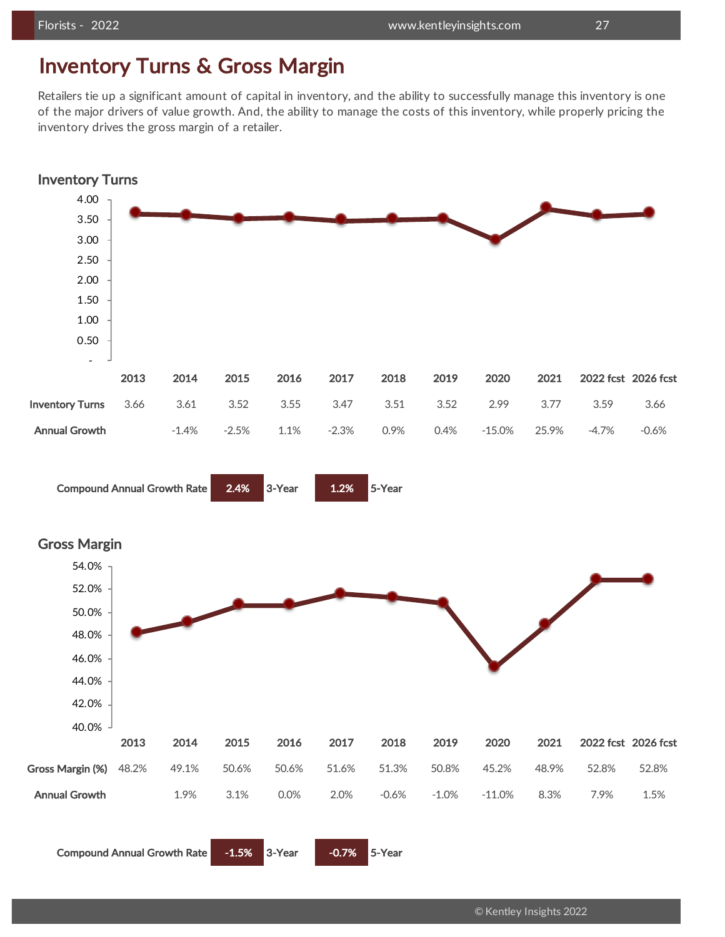### Inventory Turns & Gross Margin

Retailers tie up a significant amount of capital in inventory, and the ability to successfully manage this inventory is one of the major drivers of value growth. And, the ability to manage the costs of this inventory, while properly pricing the inventory drives the gross margin of a retailer.

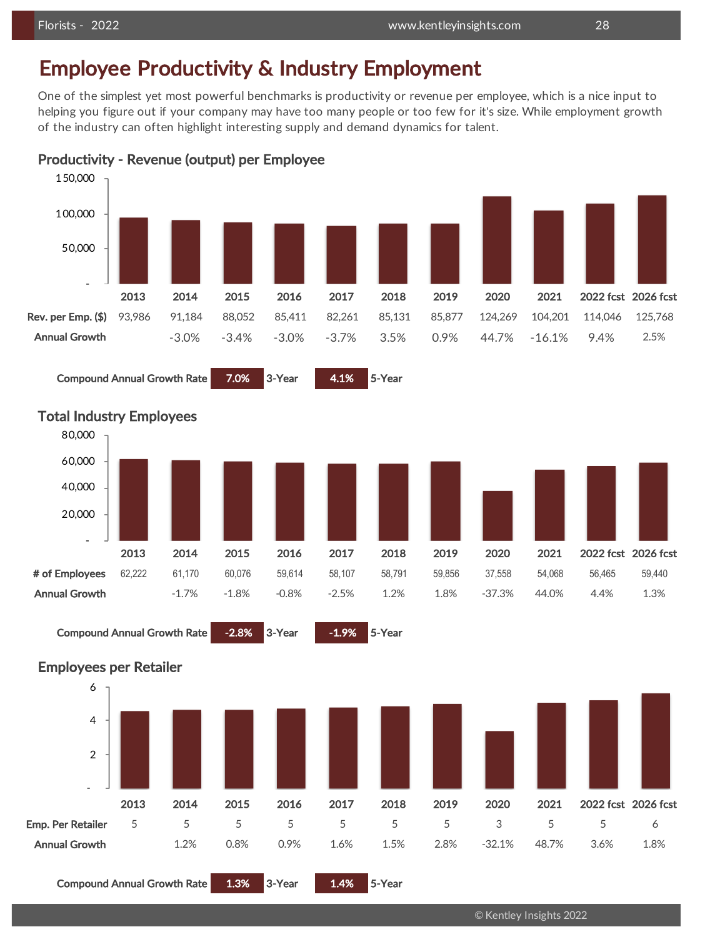## Employee Productivity & Industry Employment

One of the simplest yet most powerful benchmarks is productivity or revenue per employee, which is a nice input to helping you figure out if your company may have too many people or too few for it's size. While employment growth of the industry can often highlight interesting supply and demand dynamics for talent.



Productivity - Revenue (output) per Employee

### Compound Annual Growth Rate 7.0% 3-Year 4.1% 5-Year







Compound Annual Growth Rate 1.3% 3-Year 1.4% 5-Year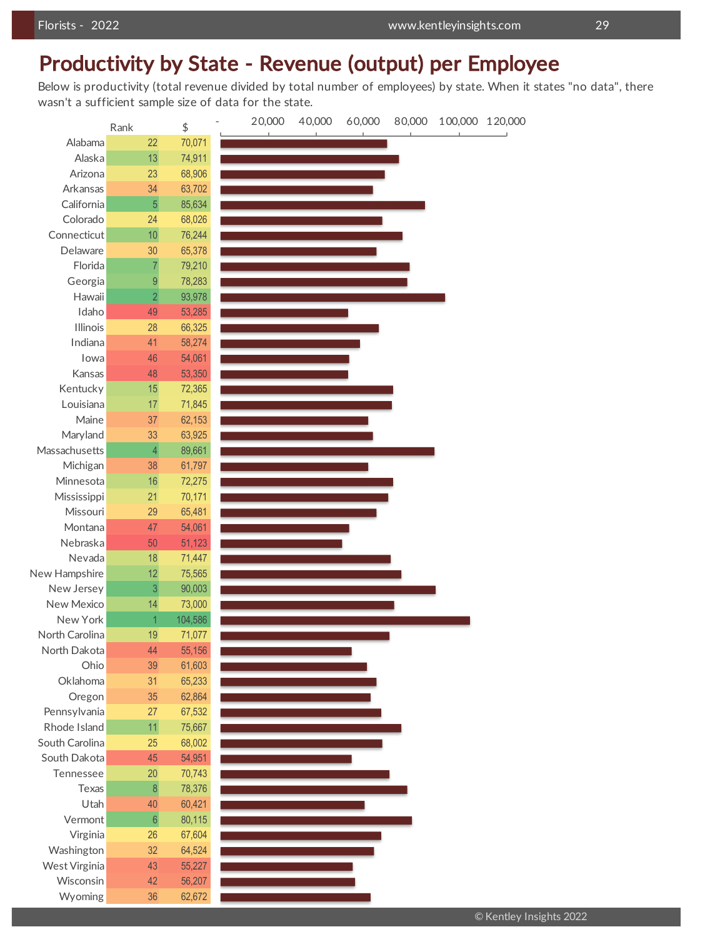## Productivity by State - Revenue (output) per Employee

Below is productivity (total revenue divided by total number of employees) by state. When it states "no data", there wasn't a sufficient sample size of data for the state.

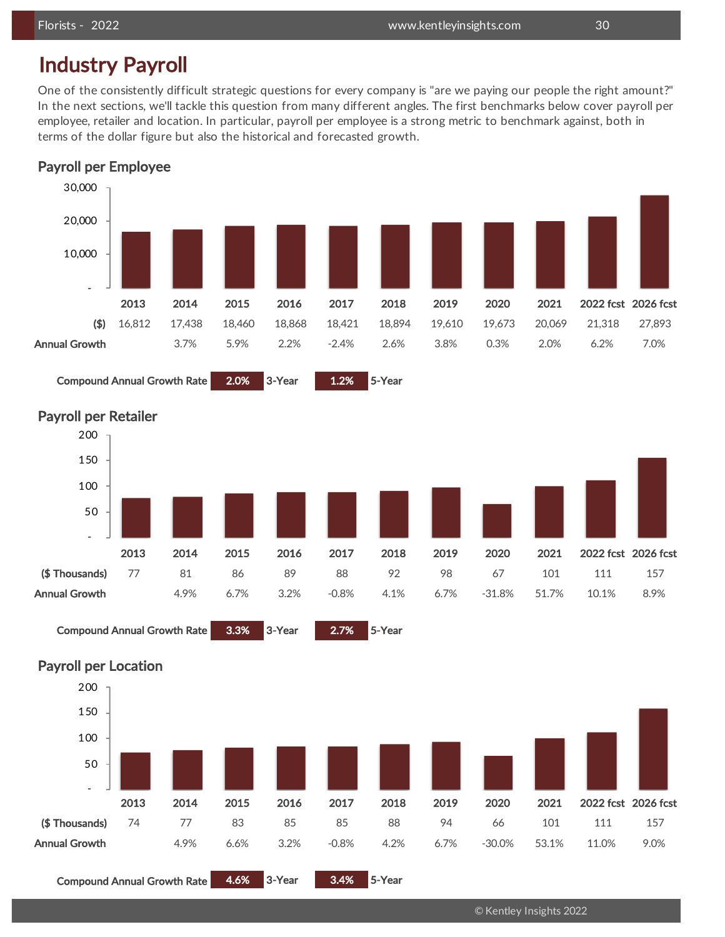## Industry Payroll

One of the consistently difficult strategic questions for every company is "are we paying our people the right amount?" In the next sections, we'll tackle this question from many different angles. The first benchmarks below cover payroll per employee, retailer and location. In particular, payroll per employee is a strong metric to benchmark against, both in terms of the dollar figure but also the historical and forecasted growth.





Compound Annual Growth Rate 2.0% 3-Year 1.2% 5-Year



Compound Annual Growth Rate 3.3% 3-Year 2.7% 5-Year



Compound Annual Growth Rate 4.6% 3-Year 3.4% 5-Year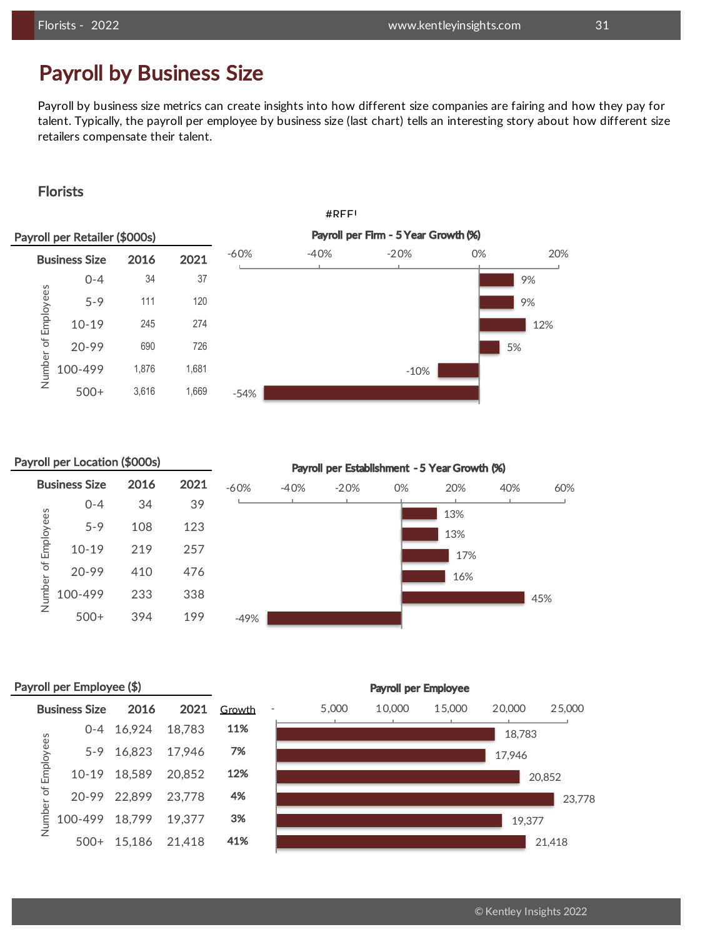### Payroll by Business Size

Payroll by business size metrics can create insights into how different size companies are fairing and how they pay for talent. Typically, the payroll per employee by business size (last chart) tells an interesting story about how different size retailers compensate their talent.

### Florists



### Payroll per Location (\$000s)

| <b>Business Size</b>           | 2016 | 2021 | $-60%$ | $-40%$ | $-20%$ |
|--------------------------------|------|------|--------|--------|--------|
| $0 - 4$                        | 34   | 39   |        |        |        |
| Number of Employees<br>$5 - 9$ | 108  | 123  |        |        |        |
| $10 - 19$                      | 219  | 257  |        |        |        |
| $20 - 99$                      | 410  | 476  |        |        |        |
| 100-499                        | 233  | 338  |        |        |        |
| $500+$                         | 394  | 199  | $-49%$ |        |        |

Payroll per Establishment - 5 Year Growth (%)



### Payroll per Employee (\$)

|           | Business Size 2016    |                     | 2021 Growth | 5,000 |
|-----------|-----------------------|---------------------|-------------|-------|
|           |                       | 0-4 16,924 18,783   | 11%         |       |
| Employees |                       | 5-9 16,823 17,946   | 7%          |       |
|           |                       | 10-19 18,589 20,852 | 12%         |       |
| umber of  |                       | 20-99 22,899 23,778 | 4%          |       |
|           | 100-499 18,799 19,377 |                     | 3%          |       |
| ż         | $500+$                | 15,186 21,418       | 41%         |       |

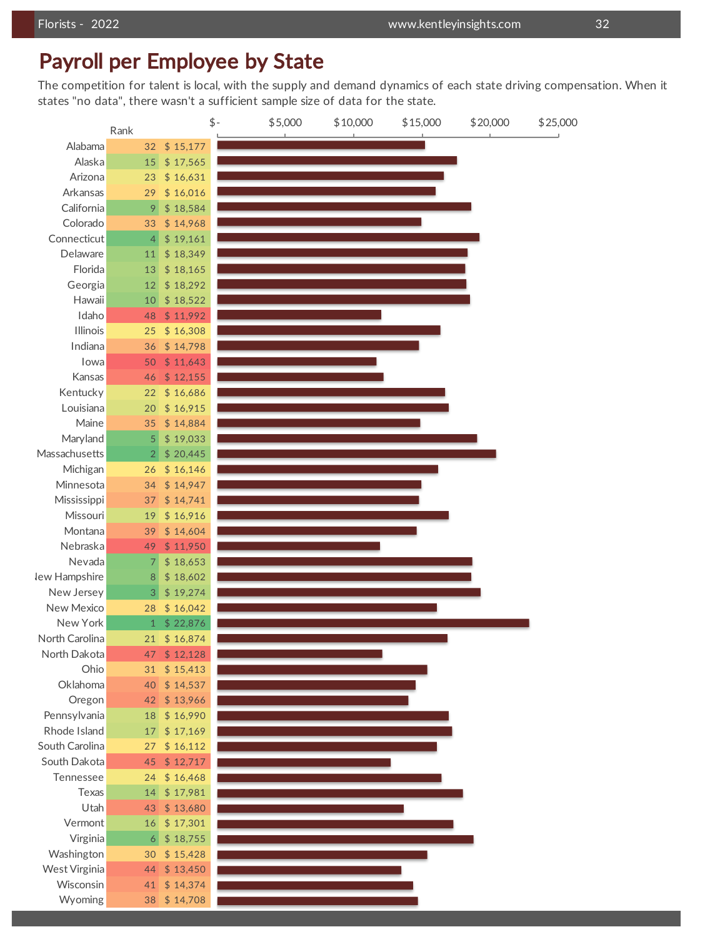### Payroll per Employee by State

The competition for talent is local, with the supply and demand dynamics of each state driving compensation. When it states "no data", there wasn't a sufficient sample size of data for the state.

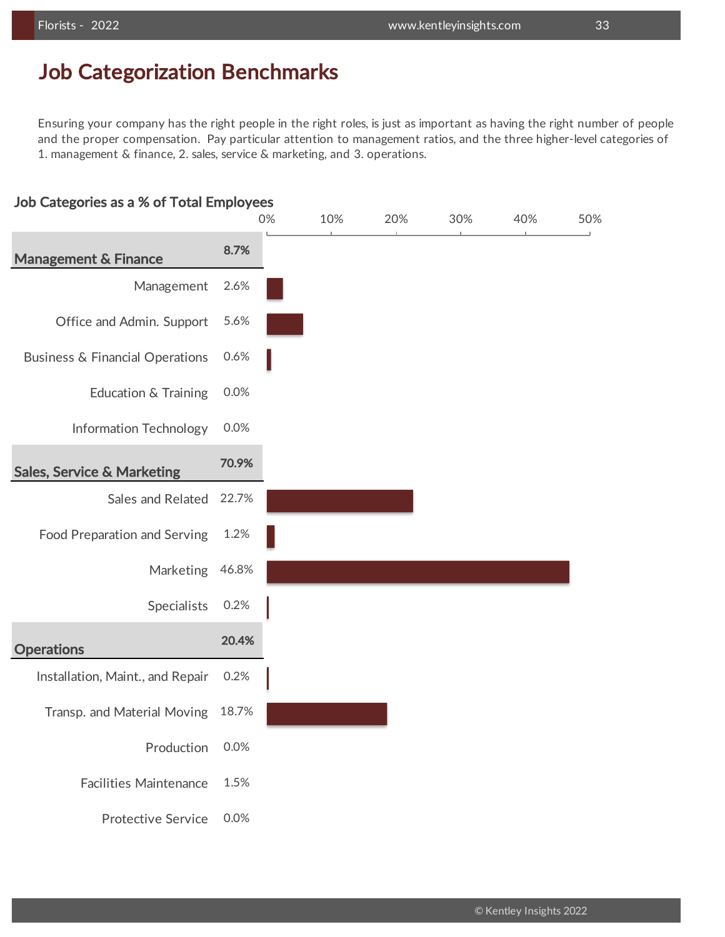### Job Categorization Benchmarks

Ensuring your company has the right people in the right roles, is just as important as having the right number of people and the proper compensation. Pay particular attention to management ratios, and the three higher-level categories of 1. management & finance, 2. sales, service & marketing, and 3. operations.

### Job Categories as a % of Total Employees

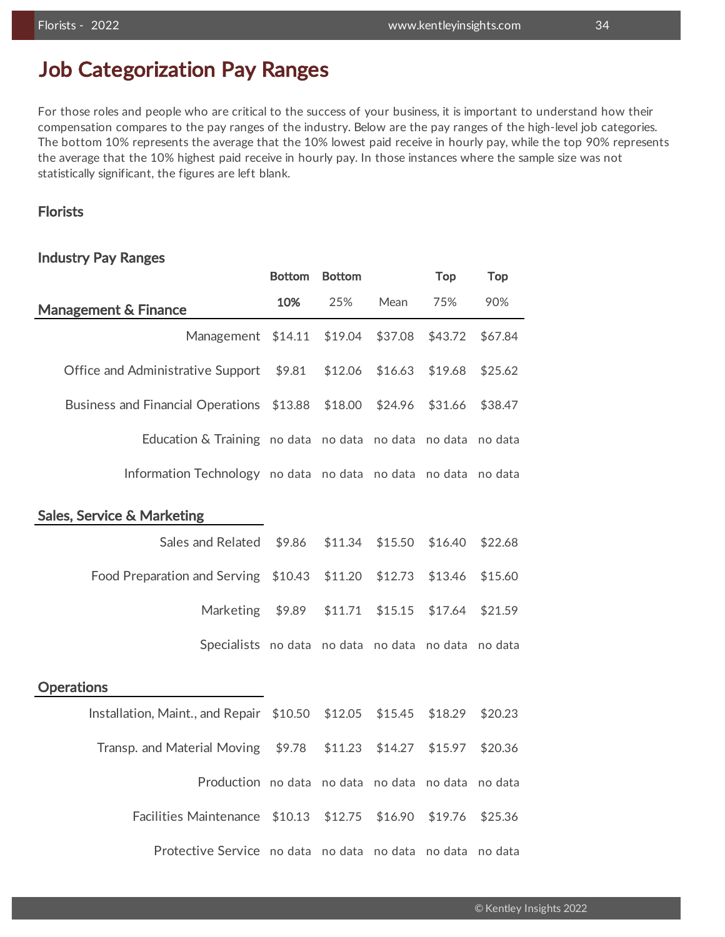## Job Categorization Pay Ranges

For those roles and people who are critical to the success of your business, it is important to understand how their compensation compares to the pay ranges of the industry. Below are the pay ranges of the high-level job categories. The bottom 10% represents the average that the 10% lowest paid receive in hourly pay, while the top 90% represents the average that the 10% highest paid receive in hourly pay. In those instances where the sample size was not statistically significant, the figures are left blank.

### Florists

### Industry Pay Ranges

|                                                                | <b>Bottom</b> | <b>Bottom</b> |         | <b>Top</b> | <b>Top</b> |
|----------------------------------------------------------------|---------------|---------------|---------|------------|------------|
| <b>Management &amp; Finance</b>                                | 10%           | 25%           | Mean    | 75%        | 90%        |
| Management                                                     | \$14.11       | \$19.04       | \$37.08 | \$43.72    | \$67.84    |
| Office and Administrative Support                              | \$9.81        | \$12.06       | \$16.63 | \$19.68    | \$25.62    |
| <b>Business and Financial Operations</b>                       | \$13.88       | \$18.00       | \$24.96 | \$31.66    | \$38.47    |
| Education & Training no data no data no data no data no data   |               |               |         |            |            |
| Information Technology no data no data no data no data no data |               |               |         |            |            |
| <b>Sales, Service &amp; Marketing</b>                          |               |               |         |            |            |
| Sales and Related                                              | \$9.86        | \$11.34       | \$15.50 | \$16.40    | \$22.68    |
| Food Preparation and Serving                                   | \$10.43       | \$11.20       | \$12.73 | \$13.46    | \$15.60    |
| <b>Marketing</b>                                               | \$9.89        | \$11.71       | \$15.15 | \$17.64    | \$21.59    |
| Specialists no data no data no data no data no data            |               |               |         |            |            |
| <b>Operations</b>                                              |               |               |         |            |            |
| Installation, Maint., and Repair \$10.50                       |               | \$12.05       | \$15.45 | \$18.29    | \$20.23    |
| Transp. and Material Moving                                    | \$9.78        | \$11.23       | \$14.27 | \$15.97    | \$20.36    |
| Production no data no data no data no data                     |               |               |         |            | no data    |
| Facilities Maintenance                                         | \$10.13       | \$12.75       | \$16.90 | \$19.76    | \$25.36    |
| Protective Service no data no data no data no data no data     |               |               |         |            |            |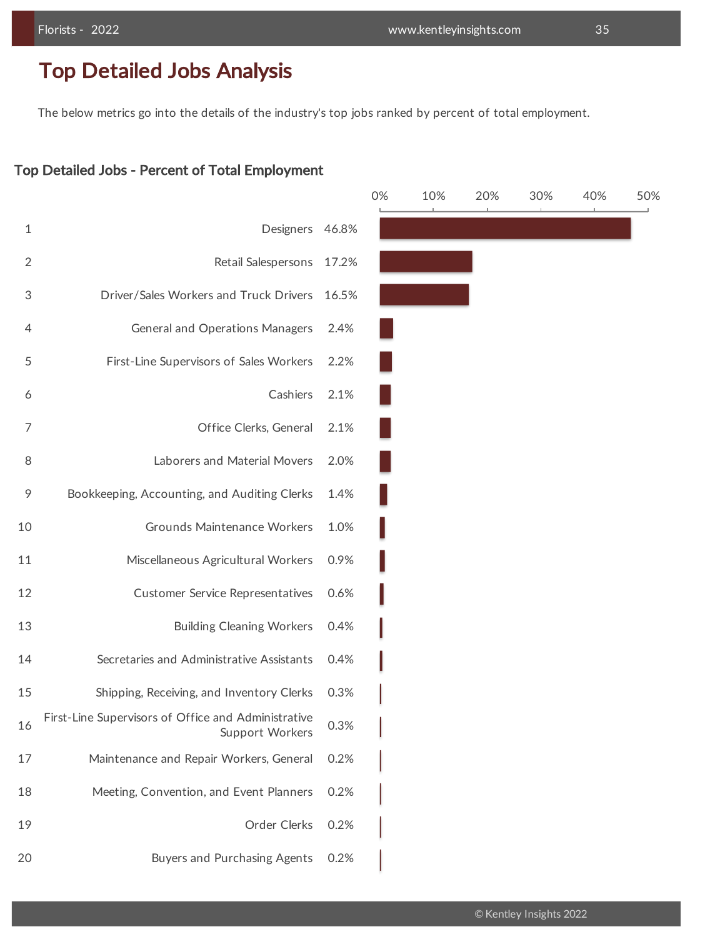## Top Detailed Jobs Analysis

The below metrics go into the details of the industry's top jobs ranked by percent of total employment.

### Top Detailed Jobs - Percent of Total Employment

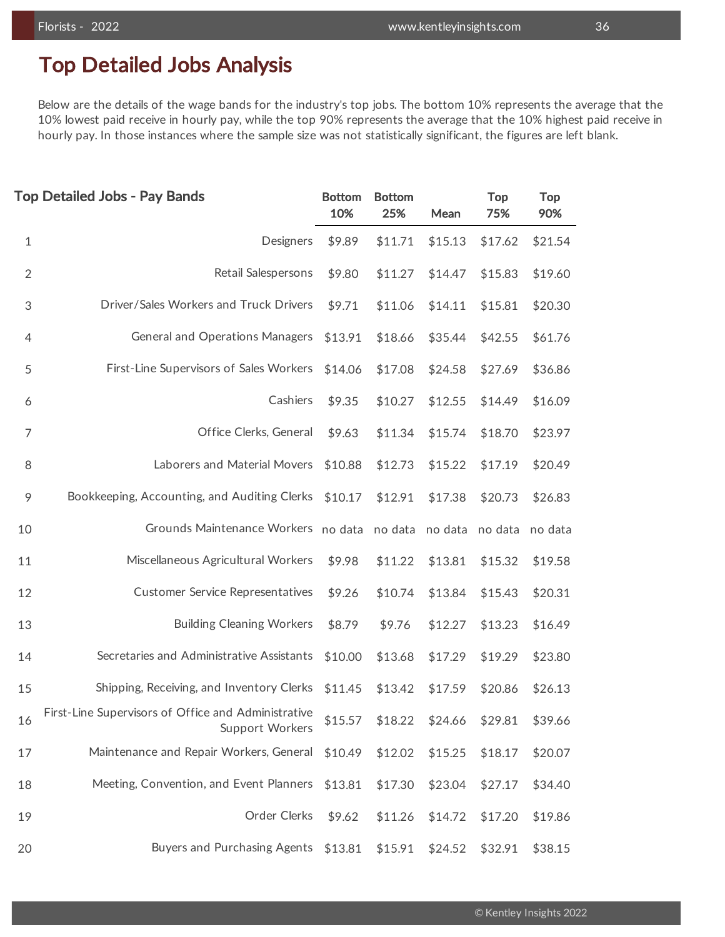## Top Detailed Jobs Analysis

Below are the details of the wage bands for the industry's top jobs. The bottom 10% represents the average that the 10% lowest paid receive in hourly pay, while the top 90% represents the average that the 10% highest paid receive in hourly pay. In those instances where the sample size was not statistically significant, the figures are left blank.

|                | <b>Top Detailed Jobs - Pay Bands</b>                                   | <b>Bottom</b><br>10% | <b>Bottom</b><br>25%    | Mean    | <b>Top</b><br>75% | <b>Top</b><br>90% |
|----------------|------------------------------------------------------------------------|----------------------|-------------------------|---------|-------------------|-------------------|
| $\mathbf{1}$   | Designers                                                              | \$9.89               | \$11.71                 | \$15.13 | \$17.62           | \$21.54           |
| $\overline{2}$ | Retail Salespersons                                                    | \$9.80               | \$11.27                 | \$14.47 | \$15.83           | \$19.60           |
| 3              | Driver/Sales Workers and Truck Drivers                                 | \$9.71               | \$11.06                 | \$14.11 | \$15.81           | \$20.30           |
| $\overline{4}$ | <b>General and Operations Managers</b>                                 | \$13.91              | \$18.66                 | \$35.44 | \$42.55           | \$61.76           |
| 5              | First-Line Supervisors of Sales Workers                                | \$14.06              | \$17.08                 | \$24.58 | \$27.69           | \$36.86           |
| 6              | Cashiers                                                               | \$9.35               | \$10.27                 | \$12.55 | \$14.49           | \$16.09           |
| $\overline{7}$ | Office Clerks, General                                                 | \$9.63               | \$11.34                 | \$15.74 | \$18.70           | \$23.97           |
| 8              | Laborers and Material Movers                                           | \$10.88              | \$12.73                 | \$15.22 | \$17.19           | \$20.49           |
| 9              | Bookkeeping, Accounting, and Auditing Clerks                           | \$10.17              | \$12.91                 | \$17.38 | \$20.73           | \$26.83           |
| 10             | Grounds Maintenance Workers                                            |                      | no data no data no data |         | no data           | no data           |
| 11             | Miscellaneous Agricultural Workers                                     | \$9.98               | \$11.22                 | \$13.81 | \$15.32           | \$19.58           |
| 12             | <b>Customer Service Representatives</b>                                | \$9.26               | \$10.74                 | \$13.84 | \$15.43           | \$20.31           |
| 13             | <b>Building Cleaning Workers</b>                                       | \$8.79               | \$9.76                  | \$12.27 | \$13.23           | \$16.49           |
| 14             | Secretaries and Administrative Assistants                              | \$10.00              | \$13.68                 | \$17.29 | \$19.29           | \$23.80           |
| 15             | Shipping, Receiving, and Inventory Clerks                              | \$11.45              | \$13.42                 | \$17.59 | \$20.86           | \$26.13           |
| 16             | First-Line Supervisors of Office and Administrative<br>Support Workers | \$15.57              | \$18.22                 | \$24.66 | \$29.81           | \$39.66           |
| 17             | Maintenance and Repair Workers, General                                | \$10.49              | \$12.02                 | \$15.25 | \$18.17           | \$20.07           |
| 18             | Meeting, Convention, and Event Planners                                | \$13.81              | \$17.30                 | \$23.04 | \$27.17           | \$34.40           |
| 19             | Order Clerks                                                           | \$9.62               | \$11.26                 | \$14.72 | \$17.20           | \$19.86           |
| 20             | Buyers and Purchasing Agents                                           | \$13.81              | \$15.91                 | \$24.52 | \$32.91           | \$38.15           |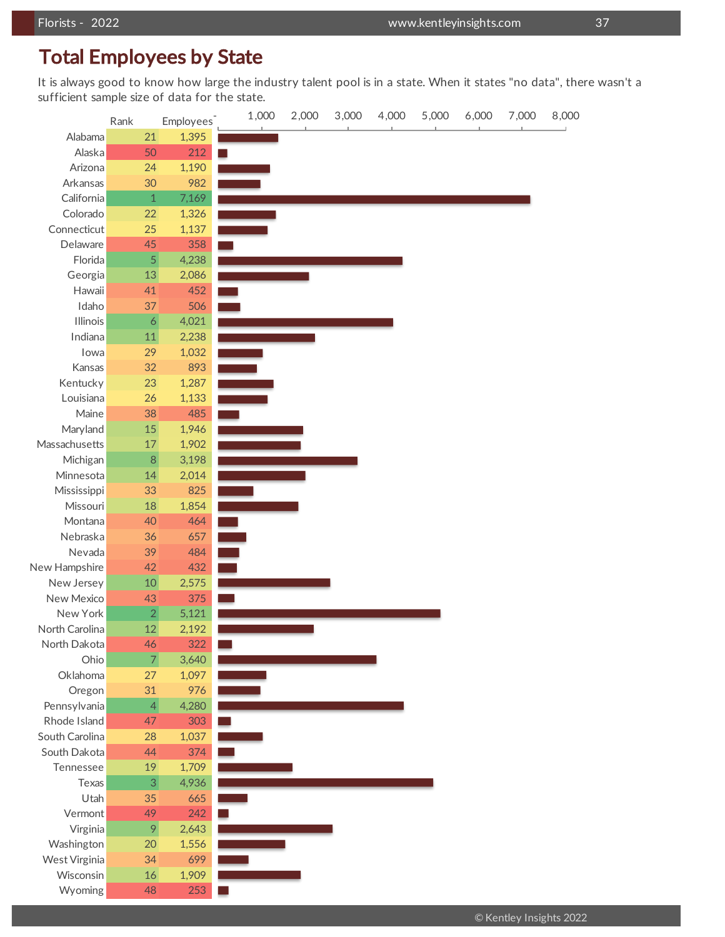sufficient sample size of data for the state.<br>مدد It is always good to know how large the industry talent pool is in a state. When it states "no data", there wasn't a

|                | Rank             | <b>Employees</b> | 1,000 | 2,000 | 3,000 | 4,000 | 5,000 | 6,000 | 7,000 | 8,000 |
|----------------|------------------|------------------|-------|-------|-------|-------|-------|-------|-------|-------|
| Alabama        | 21               | 1,395            |       |       |       |       |       |       |       |       |
| Alaska         | 50               | 212              |       |       |       |       |       |       |       |       |
| Arizona        | 24               | 1,190            |       |       |       |       |       |       |       |       |
| Arkansas       | 30               | 982              |       |       |       |       |       |       |       |       |
| California     | $\mathbf 1$      | 7,169            |       |       |       |       |       |       |       |       |
| Colorado       | 22               | 1,326            |       |       |       |       |       |       |       |       |
| Connecticut    | 25               | 1,137            |       |       |       |       |       |       |       |       |
| Delaware       | 45               | 358              |       |       |       |       |       |       |       |       |
| Florida        | $\overline{5}$   | 4,238            |       |       |       |       |       |       |       |       |
| Georgia        | 13               | 2,086            |       |       |       |       |       |       |       |       |
| Hawaii         | 41               | 452              |       |       |       |       |       |       |       |       |
| Idaho          | 37               | 506              |       |       |       |       |       |       |       |       |
| Illinois       | $\boldsymbol{6}$ | 4,021            |       |       |       |       |       |       |       |       |
| Indiana        | 11               | 2,238            |       |       |       |       |       |       |       |       |
| lowa           | 29               | 1,032            |       |       |       |       |       |       |       |       |
| Kansas         | 32               | 893              |       |       |       |       |       |       |       |       |
| Kentucky       | 23               | 1,287            |       |       |       |       |       |       |       |       |
| Louisiana      | 26               | 1,133            |       |       |       |       |       |       |       |       |
| Maine          | 38               | 485              |       |       |       |       |       |       |       |       |
| Maryland       | 15               | 1,946            |       |       |       |       |       |       |       |       |
| Massachusetts  | $17\,$           | 1,902            |       |       |       |       |       |       |       |       |
| Michigan       | $\, 8$           | 3,198            |       |       |       |       |       |       |       |       |
| Minnesota      | 14               | 2,014            |       |       |       |       |       |       |       |       |
| Mississippi    | 33               | 825              |       |       |       |       |       |       |       |       |
| Missouri       | 18               | 1,854            |       |       |       |       |       |       |       |       |
| Montana        | 40               | 464              |       |       |       |       |       |       |       |       |
| Nebraska       | 36               | 657              |       |       |       |       |       |       |       |       |
| Nevada         | 39               | 484              |       |       |       |       |       |       |       |       |
| New Hampshire  | 42               | 432              |       |       |       |       |       |       |       |       |
| New Jersey     | $10$             | 2,575            |       |       |       |       |       |       |       |       |
| New Mexico     | 43               | 375              |       |       |       |       |       |       |       |       |
| New York       | $\overline{2}$   | 5,121            |       |       |       |       |       |       |       |       |
| North Carolina | 12               | 2,192            |       |       |       |       |       |       |       |       |
| North Dakota   | 46               | 322              |       |       |       |       |       |       |       |       |
| Ohio           | $\overline{7}$   | 3,640            |       |       |       |       |       |       |       |       |
| Oklahoma       | 27               | 1,097            |       |       |       |       |       |       |       |       |
| Oregon         | 31               | 976              |       |       |       |       |       |       |       |       |
| Pennsylvania   | $\vert 4 \vert$  | 4,280            |       |       |       |       |       |       |       |       |
| Rhode Island   | 47               | 303              |       |       |       |       |       |       |       |       |
| South Carolina | 28               | 1,037            |       |       |       |       |       |       |       |       |
| South Dakota   | 44               | 374              |       |       |       |       |       |       |       |       |
| Tennessee      | 19               | 1,709            |       |       |       |       |       |       |       |       |
| Texas          | 3                | 4,936            |       |       |       |       |       |       |       |       |
| Utah           | 35               | 665              |       |       |       |       |       |       |       |       |
| Vermont        | 49               | 242              |       |       |       |       |       |       |       |       |
| Virginia       | 9                | 2,643            |       |       |       |       |       |       |       |       |
| Washington     | 20               | 1,556            |       |       |       |       |       |       |       |       |
| West Virginia  | 34               | 699              |       |       |       |       |       |       |       |       |
| Wisconsin      | 16               | 1,909            |       |       |       |       |       |       |       |       |
| Wyoming        | 48               | 253              |       |       |       |       |       |       |       |       |
|                |                  |                  |       |       |       |       |       |       |       |       |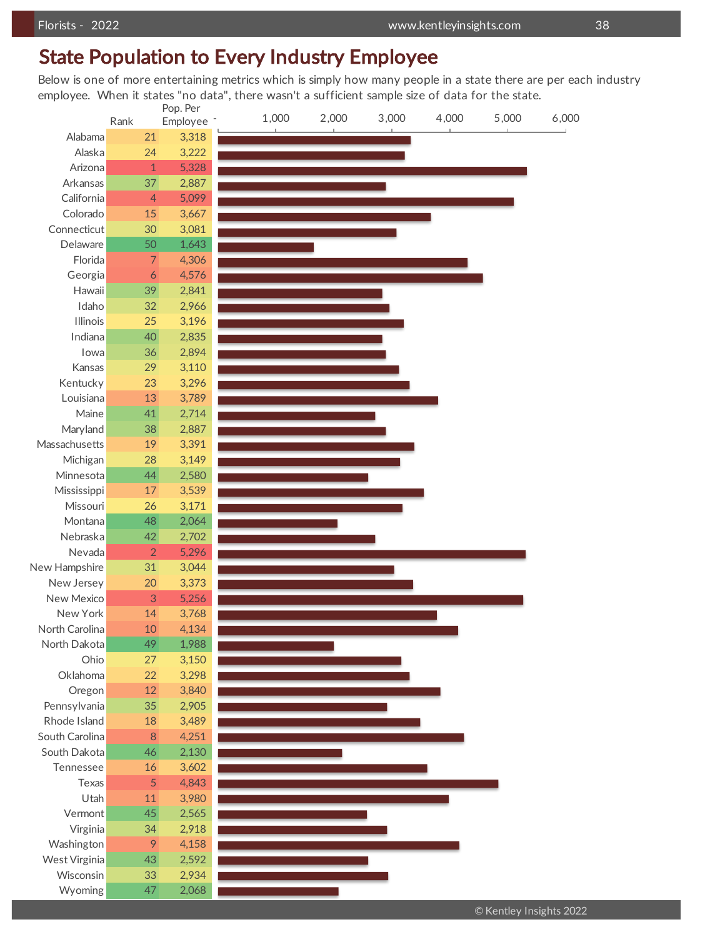### State Population to Every Industry Employee

Below is one of more entertaining metrics which is simply how many people in a state there are per each industry employee. When it states "no data", there wasn't a sufficient sample size of data for the state.